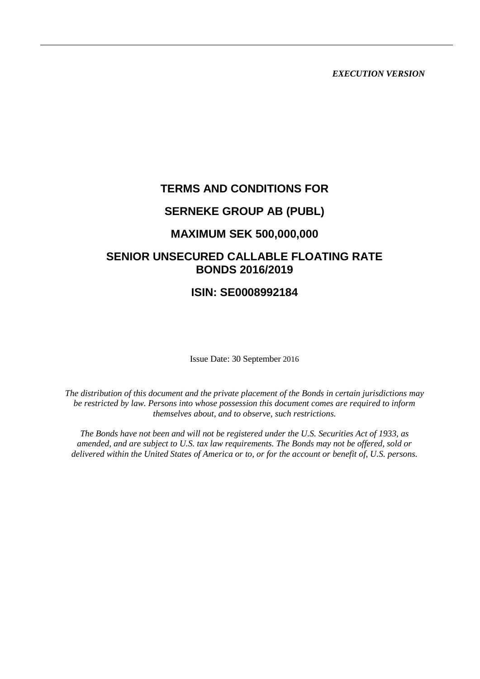*EXECUTION VERSION*

# **TERMS AND CONDITIONS FOR**

# **SERNEKE GROUP AB (PUBL)**

# **MAXIMUM SEK 500,000,000**

# **SENIOR UNSECURED CALLABLE FLOATING RATE BONDS 2016/2019**

# **ISIN: SE0008992184**

Issue Date: 30 September 2016

*The distribution of this document and the private placement of the Bonds in certain jurisdictions may be restricted by law. Persons into whose possession this document comes are required to inform themselves about, and to observe, such restrictions.*

*The Bonds have not been and will not be registered under the U.S. Securities Act of 1933, as amended, and are subject to U.S. tax law requirements. The Bonds may not be offered, sold or delivered within the United States of America or to, or for the account or benefit of, U.S. persons.*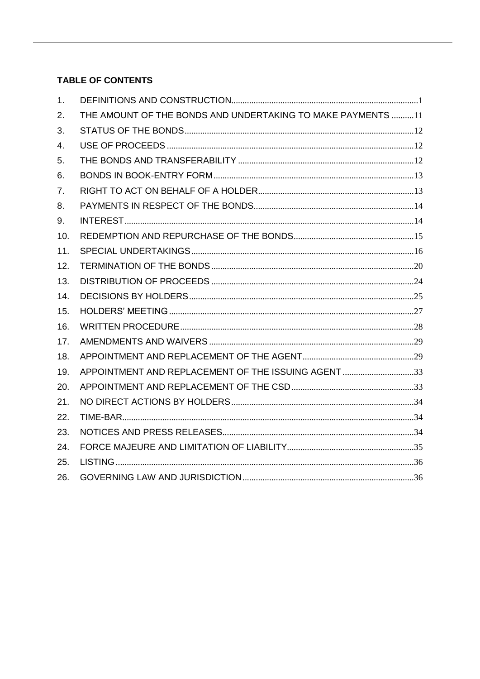# **TABLE OF CONTENTS**

| 1.  |                                                              |  |
|-----|--------------------------------------------------------------|--|
| 2.  | THE AMOUNT OF THE BONDS AND UNDERTAKING TO MAKE PAYMENTS  11 |  |
| 3.  |                                                              |  |
| 4.  |                                                              |  |
| 5.  |                                                              |  |
| 6.  |                                                              |  |
| 7.  |                                                              |  |
| 8.  |                                                              |  |
| 9.  |                                                              |  |
| 10. |                                                              |  |
| 11. |                                                              |  |
| 12. |                                                              |  |
| 13. |                                                              |  |
| 14. |                                                              |  |
| 15. |                                                              |  |
| 16. |                                                              |  |
| 17. |                                                              |  |
| 18. |                                                              |  |
| 19. | APPOINTMENT AND REPLACEMENT OF THE ISSUING AGENT 33          |  |
| 20. |                                                              |  |
| 21. |                                                              |  |
| 22. |                                                              |  |
| 23. |                                                              |  |
| 24. |                                                              |  |
| 25. |                                                              |  |
| 26. |                                                              |  |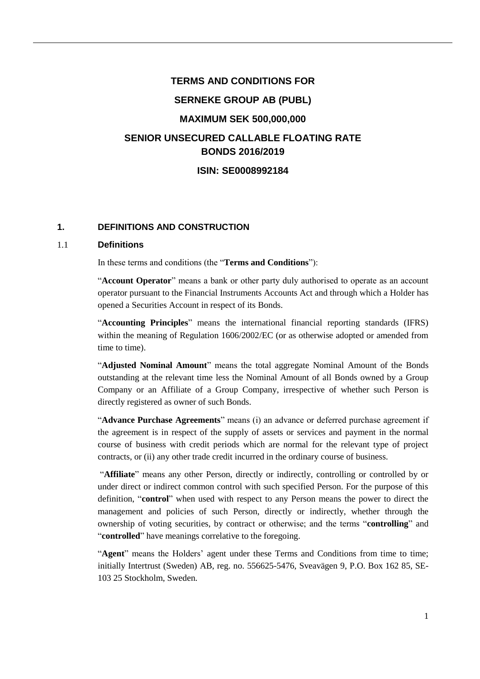# **TERMS AND CONDITIONS FOR SERNEKE GROUP AB (PUBL) MAXIMUM SEK 500,000,000 SENIOR UNSECURED CALLABLE FLOATING RATE BONDS 2016/2019 ISIN: SE0008992184**

# **1. DEFINITIONS AND CONSTRUCTION**

#### 1.1 **Definitions**

In these terms and conditions (the "**Terms and Conditions**"):

"**Account Operator**" means a bank or other party duly authorised to operate as an account operator pursuant to the Financial Instruments Accounts Act and through which a Holder has opened a Securities Account in respect of its Bonds.

"**Accounting Principles**" means the international financial reporting standards (IFRS) within the meaning of Regulation 1606/2002/EC (or as otherwise adopted or amended from time to time).

"**Adjusted Nominal Amount**" means the total aggregate Nominal Amount of the Bonds outstanding at the relevant time less the Nominal Amount of all Bonds owned by a Group Company or an Affiliate of a Group Company, irrespective of whether such Person is directly registered as owner of such Bonds.

"**Advance Purchase Agreements**" means (i) an advance or deferred purchase agreement if the agreement is in respect of the supply of assets or services and payment in the normal course of business with credit periods which are normal for the relevant type of project contracts, or (ii) any other trade credit incurred in the ordinary course of business.

"**Affiliate**" means any other Person, directly or indirectly, controlling or controlled by or under direct or indirect common control with such specified Person. For the purpose of this definition, "**control**" when used with respect to any Person means the power to direct the management and policies of such Person, directly or indirectly, whether through the ownership of voting securities, by contract or otherwise; and the terms "**controlling**" and "**controlled**" have meanings correlative to the foregoing.

"**Agent**" means the Holders' agent under these Terms and Conditions from time to time; initially Intertrust (Sweden) AB, reg. no. 556625-5476, Sveavägen 9, P.O. Box 162 85, SE-103 25 Stockholm, Sweden.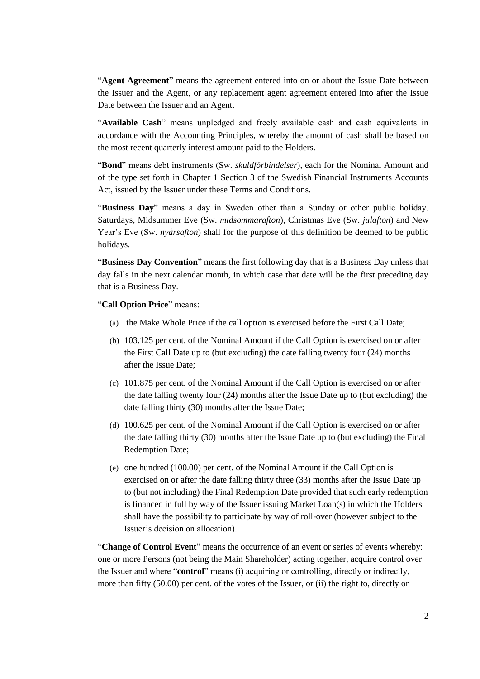"**Agent Agreement**" means the agreement entered into on or about the Issue Date between the Issuer and the Agent, or any replacement agent agreement entered into after the Issue Date between the Issuer and an Agent.

"**Available Cash**" means unpledged and freely available cash and cash equivalents in accordance with the Accounting Principles, whereby the amount of cash shall be based on the most recent quarterly interest amount paid to the Holders.

"**Bond**" means debt instruments (Sw. *skuldförbindelser*), each for the Nominal Amount and of the type set forth in Chapter 1 Section 3 of the Swedish Financial Instruments Accounts Act, issued by the Issuer under these Terms and Conditions.

"**Business Day**" means a day in Sweden other than a Sunday or other public holiday. Saturdays, Midsummer Eve (Sw. *midsommarafton*), Christmas Eve (Sw. *julafton*) and New Year's Eve (Sw. *nyårsafton*) shall for the purpose of this definition be deemed to be public holidays.

"**Business Day Convention**" means the first following day that is a Business Day unless that day falls in the next calendar month, in which case that date will be the first preceding day that is a Business Day.

"**Call Option Price**" means:

- (a) the Make Whole Price if the call option is exercised before the First Call Date;
- (b) 103.125 per cent. of the Nominal Amount if the Call Option is exercised on or after the First Call Date up to (but excluding) the date falling twenty four (24) months after the Issue Date;
- (c) 101.875 per cent. of the Nominal Amount if the Call Option is exercised on or after the date falling twenty four (24) months after the Issue Date up to (but excluding) the date falling thirty (30) months after the Issue Date;
- (d) 100.625 per cent. of the Nominal Amount if the Call Option is exercised on or after the date falling thirty (30) months after the Issue Date up to (but excluding) the Final Redemption Date;
- (e) one hundred (100.00) per cent. of the Nominal Amount if the Call Option is exercised on or after the date falling thirty three (33) months after the Issue Date up to (but not including) the Final Redemption Date provided that such early redemption is financed in full by way of the Issuer issuing Market Loan(s) in which the Holders shall have the possibility to participate by way of roll-over (however subject to the Issuer's decision on allocation).

"**Change of Control Event**" means the occurrence of an event or series of events whereby: one or more Persons (not being the Main Shareholder) acting together, acquire control over the Issuer and where "**control**" means (i) acquiring or controlling, directly or indirectly, more than fifty (50.00) per cent. of the votes of the Issuer, or (ii) the right to, directly or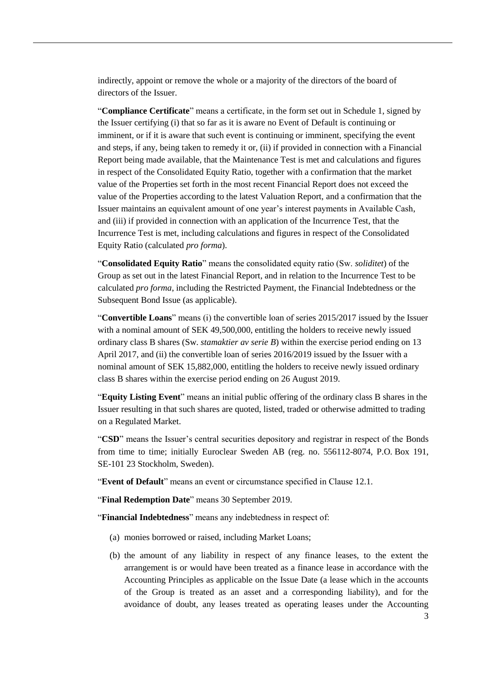indirectly, appoint or remove the whole or a majority of the directors of the board of directors of the Issuer.

"**Compliance Certificate**" means a certificate, in the form set out in Schedule 1, signed by the Issuer certifying (i) that so far as it is aware no Event of Default is continuing or imminent, or if it is aware that such event is continuing or imminent, specifying the event and steps, if any, being taken to remedy it or, (ii) if provided in connection with a Financial Report being made available, that the Maintenance Test is met and calculations and figures in respect of the Consolidated Equity Ratio, together with a confirmation that the market value of the Properties set forth in the most recent Financial Report does not exceed the value of the Properties according to the latest Valuation Report, and a confirmation that the Issuer maintains an equivalent amount of one year's interest payments in Available Cash, and (iii) if provided in connection with an application of the Incurrence Test, that the Incurrence Test is met, including calculations and figures in respect of the Consolidated Equity Ratio (calculated *pro forma*).

"**Consolidated Equity Ratio**" means the consolidated equity ratio (Sw. *soliditet*) of the Group as set out in the latest Financial Report, and in relation to the Incurrence Test to be calculated *pro forma*, including the Restricted Payment, the Financial Indebtedness or the Subsequent Bond Issue (as applicable).

"**Convertible Loans**" means (i) the convertible loan of series 2015/2017 issued by the Issuer with a nominal amount of SEK 49,500,000, entitling the holders to receive newly issued ordinary class B shares (Sw. *stamaktier av serie B*) within the exercise period ending on 13 April 2017, and (ii) the convertible loan of series 2016/2019 issued by the Issuer with a nominal amount of SEK 15,882,000, entitling the holders to receive newly issued ordinary class B shares within the exercise period ending on 26 August 2019.

"**Equity Listing Event**" means an initial public offering of the ordinary class B shares in the Issuer resulting in that such shares are quoted, listed, traded or otherwise admitted to trading on a Regulated Market.

"**CSD**" means the Issuer's central securities depository and registrar in respect of the Bonds from time to time; initially Euroclear Sweden AB (reg. no. 556112-8074, P.O. Box 191, SE-101 23 Stockholm, Sweden).

"**Event of Default**" means an event or circumstance specified in Clause [12.1.](#page-21-0)

"**Final Redemption Date**" means 30 September 2019.

<span id="page-4-0"></span>"**Financial Indebtedness**" means any indebtedness in respect of:

- (a) monies borrowed or raised, including Market Loans;
- (b) the amount of any liability in respect of any finance leases, to the extent the arrangement is or would have been treated as a finance lease in accordance with the Accounting Principles as applicable on the Issue Date (a lease which in the accounts of the Group is treated as an asset and a corresponding liability), and for the avoidance of doubt, any leases treated as operating leases under the Accounting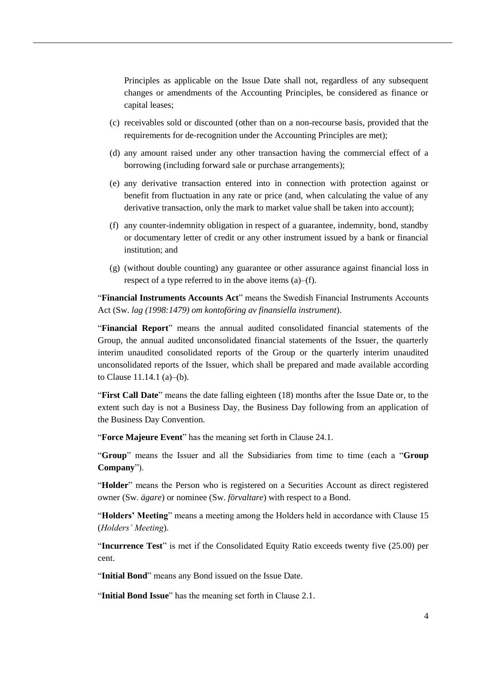Principles as applicable on the Issue Date shall not, regardless of any subsequent changes or amendments of the Accounting Principles, be considered as finance or capital leases;

- (c) receivables sold or discounted (other than on a non-recourse basis, provided that the requirements for de-recognition under the Accounting Principles are met);
- (d) any amount raised under any other transaction having the commercial effect of a borrowing (including forward sale or purchase arrangements);
- (e) any derivative transaction entered into in connection with protection against or benefit from fluctuation in any rate or price (and, when calculating the value of any derivative transaction, only the mark to market value shall be taken into account);
- <span id="page-5-0"></span>(f) any counter-indemnity obligation in respect of a guarantee, indemnity, bond, standby or documentary letter of credit or any other instrument issued by a bank or financial institution; and
- (g) (without double counting) any guarantee or other assurance against financial loss in respect of a type referred to in the above items [\(a\)–](#page-4-0)[\(f\).](#page-5-0)

"**Financial Instruments Accounts Act**" means the Swedish Financial Instruments Accounts Act (Sw. *lag (1998:1479) om kontoföring av finansiella instrument*).

"**Financial Report**" means the annual audited consolidated financial statements of the Group, the annual audited unconsolidated financial statements of the Issuer, the quarterly interim unaudited consolidated reports of the Group or the quarterly interim unaudited unconsolidated reports of the Issuer, which shall be prepared and made available according to Clause [11.14.1](#page-20-0) [\(a\)–](#page-20-1)[\(b\).](#page-20-2)

"**First Call Date**" means the date falling eighteen (18) months after the Issue Date or, to the extent such day is not a Business Day, the Business Day following from an application of the Business Day Convention.

"**Force Majeure Event**" has the meaning set forth in Clause [24.1.](#page-36-0)

"**Group**" means the Issuer and all the Subsidiaries from time to time (each a "**Group Company**").

"**Holder**" means the Person who is registered on a Securities Account as direct registered owner (Sw. *ägare*) or nominee (Sw. *förvaltare*) with respect to a Bond.

"**Holders' Meeting**" means a meeting among the Holders held in accordance with Clause [15](#page-28-0) (*Holders' Meeting*).

"**Incurrence Test**" is met if the Consolidated Equity Ratio exceeds twenty five (25.00) per cent.

"**Initial Bond**" means any Bond issued on the Issue Date.

"**Initial Bond Issue**" has the meaning set forth in Clause [2.1.](#page-12-0)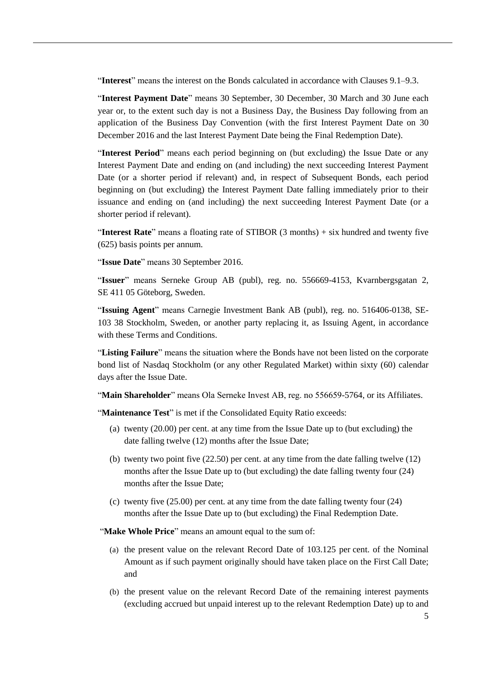"**Interest**" means the interest on the Bonds calculated in accordance with Clauses [9.1–](#page-15-0)[9.3.](#page-16-0)

"**Interest Payment Date**" means 30 September, 30 December, 30 March and 30 June each year or, to the extent such day is not a Business Day, the Business Day following from an application of the Business Day Convention (with the first Interest Payment Date on 30 December 2016 and the last Interest Payment Date being the Final Redemption Date).

"**Interest Period**" means each period beginning on (but excluding) the Issue Date or any Interest Payment Date and ending on (and including) the next succeeding Interest Payment Date (or a shorter period if relevant) and, in respect of Subsequent Bonds, each period beginning on (but excluding) the Interest Payment Date falling immediately prior to their issuance and ending on (and including) the next succeeding Interest Payment Date (or a shorter period if relevant).

"**Interest Rate**" means a floating rate of STIBOR (3 months) + six hundred and twenty five (625) basis points per annum.

"**Issue Date**" means 30 September 2016.

"**Issuer**" means Serneke Group AB (publ), reg. no. 556669-4153, Kvarnbergsgatan 2, SE 411 05 Göteborg, Sweden.

"**Issuing Agent**" means Carnegie Investment Bank AB (publ), reg. no. 516406-0138, SE-103 38 Stockholm, Sweden, or another party replacing it, as Issuing Agent, in accordance with these Terms and Conditions.

"**Listing Failure**" means the situation where the Bonds have not been listed on the corporate bond list of Nasdaq Stockholm (or any other Regulated Market) within sixty (60) calendar days after the Issue Date.

"**Main Shareholder**" means Ola Serneke Invest AB, reg. no 556659-5764, or its Affiliates.

"**Maintenance Test**" is met if the Consolidated Equity Ratio exceeds:

- (a) twenty (20.00) per cent. at any time from the Issue Date up to (but excluding) the date falling twelve (12) months after the Issue Date;
- (b) twenty two point five (22.50) per cent. at any time from the date falling twelve (12) months after the Issue Date up to (but excluding) the date falling twenty four (24) months after the Issue Date;
- (c) twenty five (25.00) per cent. at any time from the date falling twenty four (24) months after the Issue Date up to (but excluding) the Final Redemption Date.

"**Make Whole Price**" means an amount equal to the sum of:

- (a) the present value on the relevant Record Date of 103.125 per cent. of the Nominal Amount as if such payment originally should have taken place on the First Call Date; and
- (b) the present value on the relevant Record Date of the remaining interest payments (excluding accrued but unpaid interest up to the relevant Redemption Date) up to and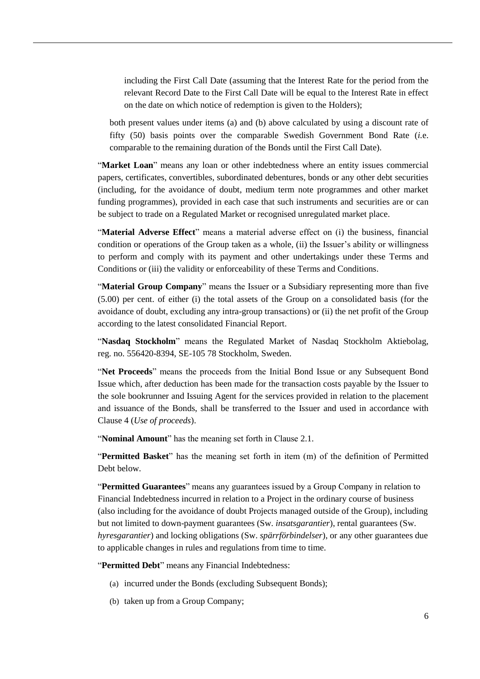including the First Call Date (assuming that the Interest Rate for the period from the relevant Record Date to the First Call Date will be equal to the Interest Rate in effect on the date on which notice of redemption is given to the Holders);

both present values under items (a) and (b) above calculated by using a discount rate of fifty (50) basis points over the comparable Swedish Government Bond Rate (*i.*e. comparable to the remaining duration of the Bonds until the First Call Date).

"**Market Loan**" means any loan or other indebtedness where an entity issues commercial papers, certificates, convertibles, subordinated debentures, bonds or any other debt securities (including, for the avoidance of doubt, medium term note programmes and other market funding programmes), provided in each case that such instruments and securities are or can be subject to trade on a Regulated Market or recognised unregulated market place.

"**Material Adverse Effect**" means a material adverse effect on (i) the business, financial condition or operations of the Group taken as a whole, (ii) the Issuer's ability or willingness to perform and comply with its payment and other undertakings under these Terms and Conditions or (iii) the validity or enforceability of these Terms and Conditions.

"**Material Group Company**" means the Issuer or a Subsidiary representing more than five (5.00) per cent. of either (i) the total assets of the Group on a consolidated basis (for the avoidance of doubt, excluding any intra-group transactions) or (ii) the net profit of the Group according to the latest consolidated Financial Report.

"**Nasdaq Stockholm**" means the Regulated Market of Nasdaq Stockholm Aktiebolag, reg. no. 556420-8394, SE-105 78 Stockholm, Sweden.

"**Net Proceeds**" means the proceeds from the Initial Bond Issue or any Subsequent Bond Issue which, after deduction has been made for the transaction costs payable by the Issuer to the sole bookrunner and Issuing Agent for the services provided in relation to the placement and issuance of the Bonds, shall be transferred to the Issuer and used in accordance with Clause [4](#page-13-0) (*Use of proceeds*).

"**Nominal Amount**" has the meaning set forth in Clause [2.1.](#page-12-0)

"**Permitted Basket**" has the meaning set forth in item (m) of the definition of Permitted Debt below.

"**Permitted Guarantees**" means any guarantees issued by a Group Company in relation to Financial Indebtedness incurred in relation to a Project in the ordinary course of business (also including for the avoidance of doubt Projects managed outside of the Group), including but not limited to down-payment guarantees (Sw. *insatsgarantier*), rental guarantees (Sw. *hyresgarantier*) and locking obligations (Sw. *spärrförbindelser*), or any other guarantees due to applicable changes in rules and regulations from time to time.

"**Permitted Debt**" means any Financial Indebtedness:

- (a) incurred under the Bonds (excluding Subsequent Bonds);
- (b) taken up from a Group Company;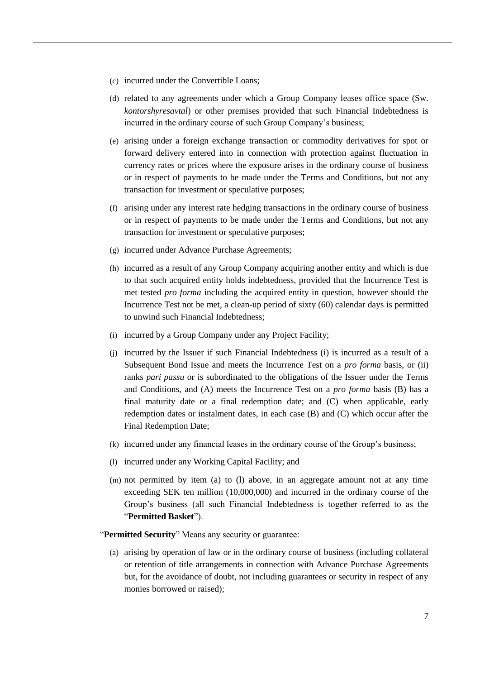- (c) incurred under the Convertible Loans;
- (d) related to any agreements under which a Group Company leases office space (Sw. *kontorshyresavtal*) or other premises provided that such Financial Indebtedness is incurred in the ordinary course of such Group Company's business;
- (e) arising under a foreign exchange transaction or commodity derivatives for spot or forward delivery entered into in connection with protection against fluctuation in currency rates or prices where the exposure arises in the ordinary course of business or in respect of payments to be made under the Terms and Conditions, but not any transaction for investment or speculative purposes;
- (f) arising under any interest rate hedging transactions in the ordinary course of business or in respect of payments to be made under the Terms and Conditions, but not any transaction for investment or speculative purposes;
- (g) incurred under Advance Purchase Agreements;
- (h) incurred as a result of any Group Company acquiring another entity and which is due to that such acquired entity holds indebtedness, provided that the Incurrence Test is met tested *pro forma* including the acquired entity in question, however should the Incurrence Test not be met, a clean-up period of sixty (60) calendar days is permitted to unwind such Financial Indebtedness;
- (i) incurred by a Group Company under any Project Facility;
- (j) incurred by the Issuer if such Financial Indebtedness (i) is incurred as a result of a Subsequent Bond Issue and meets the Incurrence Test on a *pro forma* basis, or (ii) ranks *pari passu* or is subordinated to the obligations of the Issuer under the Terms and Conditions, and (A) meets the Incurrence Test on a *pro forma* basis (B) has a final maturity date or a final redemption date; and (C) when applicable, early redemption dates or instalment dates, in each case (B) and (C) which occur after the Final Redemption Date;
- (k) incurred under any financial leases in the ordinary course of the Group's business;
- (l) incurred under any Working Capital Facility; and
- (m) not permitted by item (a) to (l) above, in an aggregate amount not at any time exceeding SEK ten million (10,000,000) and incurred in the ordinary course of the Group's business (all such Financial Indebtedness is together referred to as the "**Permitted Basket**").

"**Permitted Security**" Means any security or guarantee:

(a) arising by operation of law or in the ordinary course of business (including collateral or retention of title arrangements in connection with Advance Purchase Agreements but, for the avoidance of doubt, not including guarantees or security in respect of any monies borrowed or raised);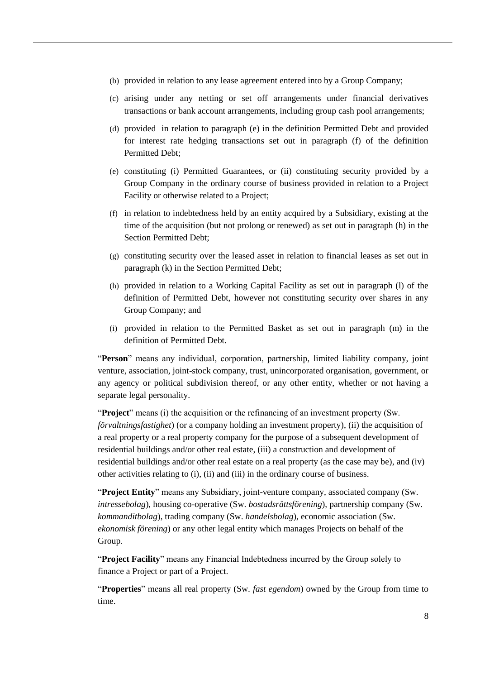- (b) provided in relation to any lease agreement entered into by a Group Company;
- (c) arising under any netting or set off arrangements under financial derivatives transactions or bank account arrangements, including group cash pool arrangements;
- (d) provided in relation to paragraph (e) in the definition Permitted Debt and provided for interest rate hedging transactions set out in paragraph (f) of the definition Permitted Debt;
- (e) constituting (i) Permitted Guarantees, or (ii) constituting security provided by a Group Company in the ordinary course of business provided in relation to a Project Facility or otherwise related to a Project;
- (f) in relation to indebtedness held by an entity acquired by a Subsidiary, existing at the time of the acquisition (but not prolong or renewed) as set out in paragraph (h) in the Section Permitted Debt;
- (g) constituting security over the leased asset in relation to financial leases as set out in paragraph (k) in the Section Permitted Debt;
- (h) provided in relation to a Working Capital Facility as set out in paragraph (l) of the definition of Permitted Debt, however not constituting security over shares in any Group Company; and
- (i) provided in relation to the Permitted Basket as set out in paragraph (m) in the definition of Permitted Debt.

"**Person**" means any individual, corporation, partnership, limited liability company, joint venture, association, joint-stock company, trust, unincorporated organisation, government, or any agency or political subdivision thereof, or any other entity, whether or not having a separate legal personality.

"**Project**" means (i) the acquisition or the refinancing of an investment property (Sw. *förvaltningsfastighet*) (or a company holding an investment property), (ii) the acquisition of a real property or a real property company for the purpose of a subsequent development of residential buildings and/or other real estate, (iii) a construction and development of residential buildings and/or other real estate on a real property (as the case may be), and (iv) other activities relating to (i), (ii) and (iii) in the ordinary course of business.

"**Project Entity**" means any Subsidiary, joint-venture company, associated company (Sw. *intressebolag*), housing co-operative (Sw. *bostadsrättsförening*), partnership company (Sw. *kommanditbolag*), trading company (Sw. *handelsbolag*), economic association (Sw. *ekonomisk förening*) or any other legal entity which manages Projects on behalf of the Group.

"**Project Facility**" means any Financial Indebtedness incurred by the Group solely to finance a Project or part of a Project.

"**Properties**" means all real property (Sw. *fast egendom*) owned by the Group from time to time.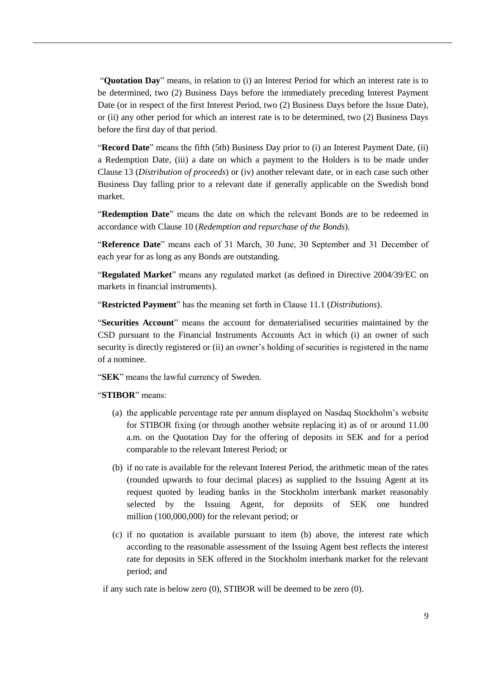"**Quotation Day**" means, in relation to (i) an Interest Period for which an interest rate is to be determined, two (2) Business Days before the immediately preceding Interest Payment Date (or in respect of the first Interest Period, two (2) Business Days before the Issue Date), or (ii) any other period for which an interest rate is to be determined, two (2) Business Days before the first day of that period.

"**Record Date**" means the fifth (5th) Business Day prior to (i) an Interest Payment Date, (ii) a Redemption Date, (iii) a date on which a payment to the Holders is to be made under Clause [13](#page-25-0) (*Distribution of proceeds*) or (iv) another relevant date, or in each case such other Business Day falling prior to a relevant date if generally applicable on the Swedish bond market.

"**Redemption Date**" means the date on which the relevant Bonds are to be redeemed in accordance with Clause [10](#page-16-1) (*Redemption and repurchase of the Bonds*).

"**Reference Date**" means each of 31 March, 30 June, 30 September and 31 December of each year for as long as any Bonds are outstanding.

"**Regulated Market**" means any regulated market (as defined in Directive 2004/39/EC on markets in financial instruments).

"**Restricted Payment**" has the meaning set forth in Claus[e 11.1](#page-17-0) (*Distributions*).

"**Securities Account**" means the account for dematerialised securities maintained by the CSD pursuant to the Financial Instruments Accounts Act in which (i) an owner of such security is directly registered or (ii) an owner's holding of securities is registered in the name of a nominee.

"**SEK**" means the lawful currency of Sweden.

"**STIBOR**" means:

- (a) the applicable percentage rate per annum displayed on Nasdaq Stockholm's website for STIBOR fixing (or through another website replacing it) as of or around 11.00 a.m. on the Quotation Day for the offering of deposits in SEK and for a period comparable to the relevant Interest Period; or
- (b) if no rate is available for the relevant Interest Period, the arithmetic mean of the rates (rounded upwards to four decimal places) as supplied to the Issuing Agent at its request quoted by leading banks in the Stockholm interbank market reasonably selected by the Issuing Agent, for deposits of SEK one hundred million (100,000,000) for the relevant period; or
- (c) if no quotation is available pursuant to item (b) above, the interest rate which according to the reasonable assessment of the Issuing Agent best reflects the interest rate for deposits in SEK offered in the Stockholm interbank market for the relevant period; and

if any such rate is below zero (0), STIBOR will be deemed to be zero (0).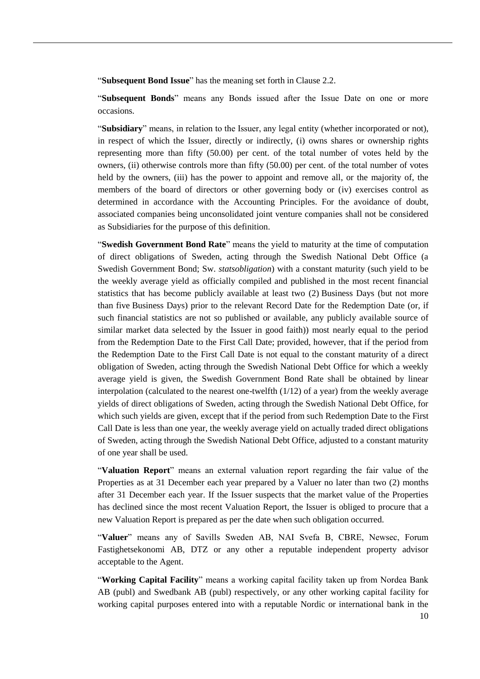"**Subsequent Bond Issue**" has the meaning set forth in Clause [2.2.](#page-13-1)

"**Subsequent Bonds**" means any Bonds issued after the Issue Date on one or more occasions.

"**Subsidiary**" means, in relation to the Issuer, any legal entity (whether incorporated or not), in respect of which the Issuer, directly or indirectly, (i) owns shares or ownership rights representing more than fifty (50.00) per cent. of the total number of votes held by the owners, (ii) otherwise controls more than fifty (50.00) per cent. of the total number of votes held by the owners, (iii) has the power to appoint and remove all, or the majority of, the members of the board of directors or other governing body or (iv) exercises control as determined in accordance with the Accounting Principles. For the avoidance of doubt, associated companies being unconsolidated joint venture companies shall not be considered as Subsidiaries for the purpose of this definition.

"**Swedish Government Bond Rate**" means the yield to maturity at the time of computation of direct obligations of Sweden, acting through the Swedish National Debt Office (a Swedish Government Bond; Sw. *statsobligation*) with a constant maturity (such yield to be the weekly average yield as officially compiled and published in the most recent financial statistics that has become publicly available at least two (2) Business Days (but not more than five Business Days) prior to the relevant Record Date for the Redemption Date (or, if such financial statistics are not so published or available, any publicly available source of similar market data selected by the Issuer in good faith)) most nearly equal to the period from the Redemption Date to the First Call Date; provided, however, that if the period from the Redemption Date to the First Call Date is not equal to the constant maturity of a direct obligation of Sweden, acting through the Swedish National Debt Office for which a weekly average yield is given, the Swedish Government Bond Rate shall be obtained by linear interpolation (calculated to the nearest one-twelfth  $(1/12)$  of a year) from the weekly average yields of direct obligations of Sweden, acting through the Swedish National Debt Office, for which such yields are given, except that if the period from such Redemption Date to the First Call Date is less than one year, the weekly average yield on actually traded direct obligations of Sweden, acting through the Swedish National Debt Office, adjusted to a constant maturity of one year shall be used.

"**Valuation Report**" means an external valuation report regarding the fair value of the Properties as at 31 December each year prepared by a Valuer no later than two (2) months after 31 December each year. If the Issuer suspects that the market value of the Properties has declined since the most recent Valuation Report, the Issuer is obliged to procure that a new Valuation Report is prepared as per the date when such obligation occurred.

"Valuer" means any of Savills Sweden AB, NAI Svefa B, CBRE, Newsec, Forum Fastighetsekonomi AB, DTZ or any other a reputable independent property advisor acceptable to the Agent.

"**Working Capital Facility**" means a working capital facility taken up from Nordea Bank AB (publ) and Swedbank AB (publ) respectively, or any other working capital facility for working capital purposes entered into with a reputable Nordic or international bank in the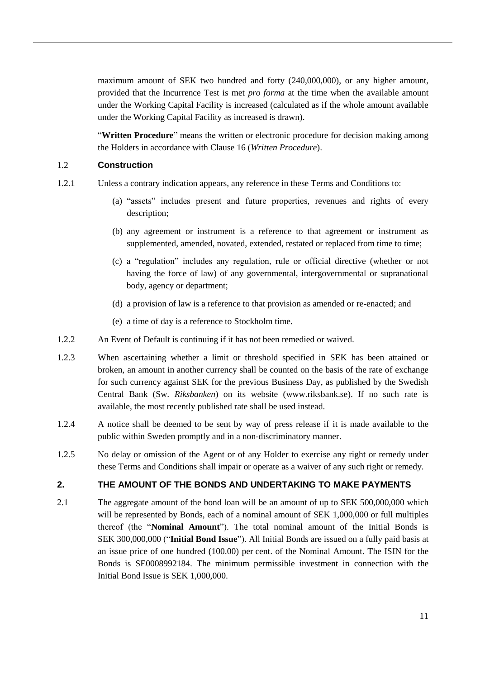maximum amount of SEK two hundred and forty (240,000,000), or any higher amount, provided that the Incurrence Test is met *pro forma* at the time when the available amount under the Working Capital Facility is increased (calculated as if the whole amount available under the Working Capital Facility as increased is drawn).

"**Written Procedure**" means the written or electronic procedure for decision making among the Holders in accordance with Clause [16](#page-29-0) (*Written Procedure*).

#### 1.2 **Construction**

- 1.2.1 Unless a contrary indication appears, any reference in these Terms and Conditions to:
	- (a) "assets" includes present and future properties, revenues and rights of every description;
	- (b) any agreement or instrument is a reference to that agreement or instrument as supplemented, amended, novated, extended, restated or replaced from time to time;
	- (c) a "regulation" includes any regulation, rule or official directive (whether or not having the force of law) of any governmental, intergovernmental or supranational body, agency or department;
	- (d) a provision of law is a reference to that provision as amended or re-enacted; and
	- (e) a time of day is a reference to Stockholm time.
- 1.2.2 An Event of Default is continuing if it has not been remedied or waived.
- 1.2.3 When ascertaining whether a limit or threshold specified in SEK has been attained or broken, an amount in another currency shall be counted on the basis of the rate of exchange for such currency against SEK for the previous Business Day, as published by the Swedish Central Bank (Sw. *Riksbanken*) on its website [\(www.riksbank.se\)](http://www.riksbank.se/). If no such rate is available, the most recently published rate shall be used instead.
- 1.2.4 A notice shall be deemed to be sent by way of press release if it is made available to the public within Sweden promptly and in a non-discriminatory manner.
- 1.2.5 No delay or omission of the Agent or of any Holder to exercise any right or remedy under these Terms and Conditions shall impair or operate as a waiver of any such right or remedy.

# **2. THE AMOUNT OF THE BONDS AND UNDERTAKING TO MAKE PAYMENTS**

<span id="page-12-0"></span>2.1 The aggregate amount of the bond loan will be an amount of up to SEK 500,000,000 which will be represented by Bonds, each of a nominal amount of SEK 1,000,000 or full multiples thereof (the "**Nominal Amount**"). The total nominal amount of the Initial Bonds is SEK 300,000,000 ("**Initial Bond Issue**"). All Initial Bonds are issued on a fully paid basis at an issue price of one hundred (100.00) per cent. of the Nominal Amount. The ISIN for the Bonds is SE0008992184. The minimum permissible investment in connection with the Initial Bond Issue is SEK 1,000,000.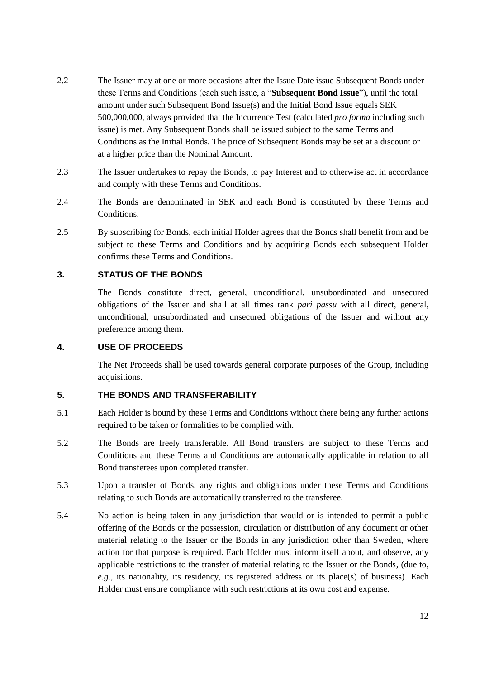- <span id="page-13-1"></span>2.2 The Issuer may at one or more occasions after the Issue Date issue Subsequent Bonds under these Terms and Conditions (each such issue, a "**Subsequent Bond Issue**"), until the total amount under such Subsequent Bond Issue(s) and the Initial Bond Issue equals SEK 500,000,000, always provided that the Incurrence Test (calculated *pro forma* including such issue) is met. Any Subsequent Bonds shall be issued subject to the same Terms and Conditions as the Initial Bonds. The price of Subsequent Bonds may be set at a discount or at a higher price than the Nominal Amount.
- 2.3 The Issuer undertakes to repay the Bonds, to pay Interest and to otherwise act in accordance and comply with these Terms and Conditions.
- 2.4 The Bonds are denominated in SEK and each Bond is constituted by these Terms and Conditions.
- 2.5 By subscribing for Bonds, each initial Holder agrees that the Bonds shall benefit from and be subject to these Terms and Conditions and by acquiring Bonds each subsequent Holder confirms these Terms and Conditions.

# **3. STATUS OF THE BONDS**

The Bonds constitute direct, general, unconditional, unsubordinated and unsecured obligations of the Issuer and shall at all times rank *pari passu* with all direct, general, unconditional, unsubordinated and unsecured obligations of the Issuer and without any preference among them.

#### <span id="page-13-0"></span>**4. USE OF PROCEEDS**

The Net Proceeds shall be used towards general corporate purposes of the Group, including acquisitions.

# **5. THE BONDS AND TRANSFERABILITY**

- 5.1 Each Holder is bound by these Terms and Conditions without there being any further actions required to be taken or formalities to be complied with.
- 5.2 The Bonds are freely transferable. All Bond transfers are subject to these Terms and Conditions and these Terms and Conditions are automatically applicable in relation to all Bond transferees upon completed transfer.
- 5.3 Upon a transfer of Bonds, any rights and obligations under these Terms and Conditions relating to such Bonds are automatically transferred to the transferee.
- 5.4 No action is being taken in any jurisdiction that would or is intended to permit a public offering of the Bonds or the possession, circulation or distribution of any document or other material relating to the Issuer or the Bonds in any jurisdiction other than Sweden, where action for that purpose is required. Each Holder must inform itself about, and observe, any applicable restrictions to the transfer of material relating to the Issuer or the Bonds, (due to, *e.g*., its nationality, its residency, its registered address or its place(s) of business). Each Holder must ensure compliance with such restrictions at its own cost and expense.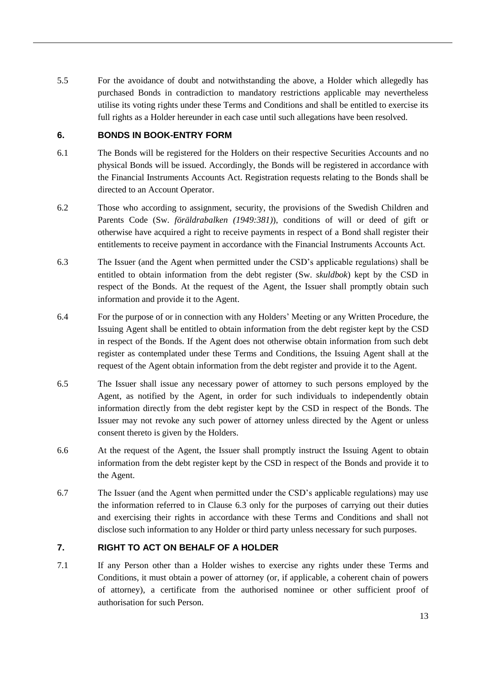5.5 For the avoidance of doubt and notwithstanding the above, a Holder which allegedly has purchased Bonds in contradiction to mandatory restrictions applicable may nevertheless utilise its voting rights under these Terms and Conditions and shall be entitled to exercise its full rights as a Holder hereunder in each case until such allegations have been resolved.

# **6. BONDS IN BOOK-ENTRY FORM**

- 6.1 The Bonds will be registered for the Holders on their respective Securities Accounts and no physical Bonds will be issued. Accordingly, the Bonds will be registered in accordance with the Financial Instruments Accounts Act. Registration requests relating to the Bonds shall be directed to an Account Operator.
- 6.2 Those who according to assignment, security, the provisions of the Swedish Children and Parents Code (Sw. *föräldrabalken (1949:381)*), conditions of will or deed of gift or otherwise have acquired a right to receive payments in respect of a Bond shall register their entitlements to receive payment in accordance with the Financial Instruments Accounts Act.
- <span id="page-14-0"></span>6.3 The Issuer (and the Agent when permitted under the CSD's applicable regulations) shall be entitled to obtain information from the debt register (Sw. *skuldbok*) kept by the CSD in respect of the Bonds. At the request of the Agent, the Issuer shall promptly obtain such information and provide it to the Agent.
- 6.4 For the purpose of or in connection with any Holders' Meeting or any Written Procedure, the Issuing Agent shall be entitled to obtain information from the debt register kept by the CSD in respect of the Bonds. If the Agent does not otherwise obtain information from such debt register as contemplated under these Terms and Conditions, the Issuing Agent shall at the request of the Agent obtain information from the debt register and provide it to the Agent.
- 6.5 The Issuer shall issue any necessary power of attorney to such persons employed by the Agent, as notified by the Agent, in order for such individuals to independently obtain information directly from the debt register kept by the CSD in respect of the Bonds. The Issuer may not revoke any such power of attorney unless directed by the Agent or unless consent thereto is given by the Holders.
- 6.6 At the request of the Agent, the Issuer shall promptly instruct the Issuing Agent to obtain information from the debt register kept by the CSD in respect of the Bonds and provide it to the Agent.
- 6.7 The Issuer (and the Agent when permitted under the CSD's applicable regulations) may use the information referred to in Clause [6.3](#page-14-0) only for the purposes of carrying out their duties and exercising their rights in accordance with these Terms and Conditions and shall not disclose such information to any Holder or third party unless necessary for such purposes.

# <span id="page-14-2"></span>**7. RIGHT TO ACT ON BEHALF OF A HOLDER**

<span id="page-14-1"></span>7.1 If any Person other than a Holder wishes to exercise any rights under these Terms and Conditions, it must obtain a power of attorney (or, if applicable, a coherent chain of powers of attorney), a certificate from the authorised nominee or other sufficient proof of authorisation for such Person.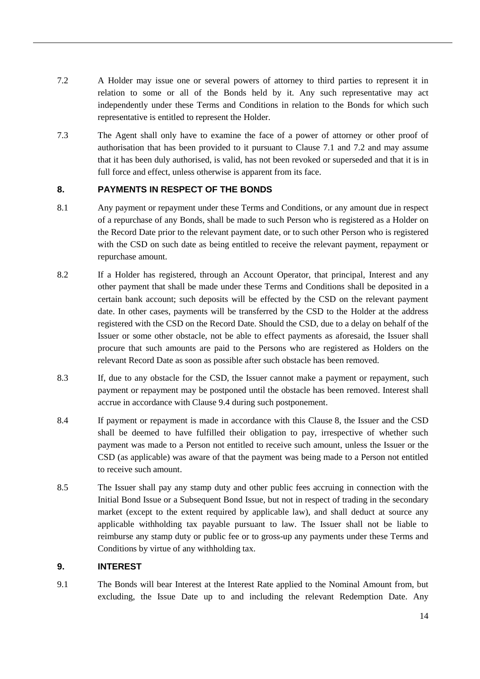- <span id="page-15-1"></span>7.2 A Holder may issue one or several powers of attorney to third parties to represent it in relation to some or all of the Bonds held by it. Any such representative may act independently under these Terms and Conditions in relation to the Bonds for which such representative is entitled to represent the Holder.
- 7.3 The Agent shall only have to examine the face of a power of attorney or other proof of authorisation that has been provided to it pursuant to Clause [7.1](#page-14-1) and [7.2](#page-15-1) and may assume that it has been duly authorised, is valid, has not been revoked or superseded and that it is in full force and effect, unless otherwise is apparent from its face.

# <span id="page-15-2"></span>**8. PAYMENTS IN RESPECT OF THE BONDS**

- <span id="page-15-3"></span>8.1 Any payment or repayment under these Terms and Conditions, or any amount due in respect of a repurchase of any Bonds, shall be made to such Person who is registered as a Holder on the Record Date prior to the relevant payment date, or to such other Person who is registered with the CSD on such date as being entitled to receive the relevant payment, repayment or repurchase amount.
- 8.2 If a Holder has registered, through an Account Operator, that principal, Interest and any other payment that shall be made under these Terms and Conditions shall be deposited in a certain bank account; such deposits will be effected by the CSD on the relevant payment date. In other cases, payments will be transferred by the CSD to the Holder at the address registered with the CSD on the Record Date. Should the CSD, due to a delay on behalf of the Issuer or some other obstacle, not be able to effect payments as aforesaid, the Issuer shall procure that such amounts are paid to the Persons who are registered as Holders on the relevant Record Date as soon as possible after such obstacle has been removed.
- 8.3 If, due to any obstacle for the CSD, the Issuer cannot make a payment or repayment, such payment or repayment may be postponed until the obstacle has been removed. Interest shall accrue in accordance with Clause [9.4](#page-16-2) during such postponement.
- 8.4 If payment or repayment is made in accordance with this Clause [8,](#page-15-2) the Issuer and the CSD shall be deemed to have fulfilled their obligation to pay, irrespective of whether such payment was made to a Person not entitled to receive such amount, unless the Issuer or the CSD (as applicable) was aware of that the payment was being made to a Person not entitled to receive such amount.
- 8.5 The Issuer shall pay any stamp duty and other public fees accruing in connection with the Initial Bond Issue or a Subsequent Bond Issue, but not in respect of trading in the secondary market (except to the extent required by applicable law), and shall deduct at source any applicable withholding tax payable pursuant to law. The Issuer shall not be liable to reimburse any stamp duty or public fee or to gross-up any payments under these Terms and Conditions by virtue of any withholding tax.

# **9. INTEREST**

<span id="page-15-0"></span>9.1 The Bonds will bear Interest at the Interest Rate applied to the Nominal Amount from, but excluding, the Issue Date up to and including the relevant Redemption Date. Any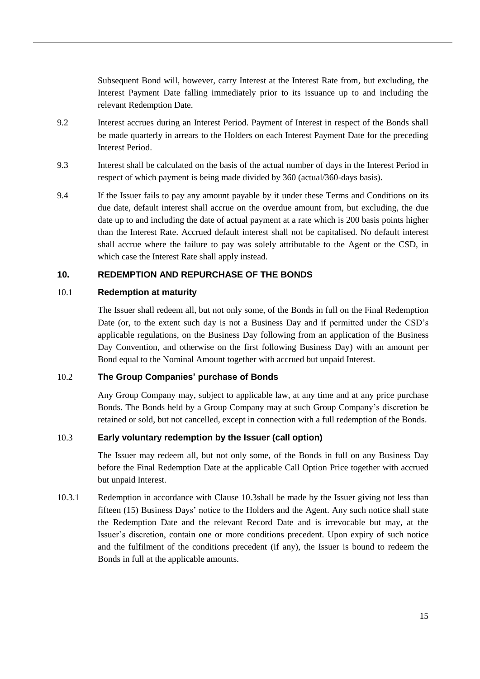Subsequent Bond will, however, carry Interest at the Interest Rate from, but excluding, the Interest Payment Date falling immediately prior to its issuance up to and including the relevant Redemption Date.

- 9.2 Interest accrues during an Interest Period. Payment of Interest in respect of the Bonds shall be made quarterly in arrears to the Holders on each Interest Payment Date for the preceding Interest Period.
- <span id="page-16-0"></span>9.3 Interest shall be calculated on the basis of the actual number of days in the Interest Period in respect of which payment is being made divided by 360 (actual/360-days basis).
- <span id="page-16-2"></span>9.4 If the Issuer fails to pay any amount payable by it under these Terms and Conditions on its due date, default interest shall accrue on the overdue amount from, but excluding, the due date up to and including the date of actual payment at a rate which is 200 basis points higher than the Interest Rate. Accrued default interest shall not be capitalised. No default interest shall accrue where the failure to pay was solely attributable to the Agent or the CSD, in which case the Interest Rate shall apply instead.

# <span id="page-16-1"></span>**10. REDEMPTION AND REPURCHASE OF THE BONDS**

# 10.1 **Redemption at maturity**

The Issuer shall redeem all, but not only some, of the Bonds in full on the Final Redemption Date (or, to the extent such day is not a Business Day and if permitted under the CSD's applicable regulations, on the Business Day following from an application of the Business Day Convention, and otherwise on the first following Business Day) with an amount per Bond equal to the Nominal Amount together with accrued but unpaid Interest.

#### <span id="page-16-4"></span>10.2 **The Group Companies' purchase of Bonds**

Any Group Company may, subject to applicable law, at any time and at any price purchase Bonds. The Bonds held by a Group Company may at such Group Company's discretion be retained or sold, but not cancelled, except in connection with a full redemption of the Bonds.

# <span id="page-16-3"></span>10.3 **Early voluntary redemption by the Issuer (call option)**

The Issuer may redeem all, but not only some, of the Bonds in full on any Business Day before the Final Redemption Date at the applicable Call Option Price together with accrued but unpaid Interest.

10.3.1 Redemption in accordance with Clause [10.3s](#page-16-3)hall be made by the Issuer giving not less than fifteen (15) Business Days' notice to the Holders and the Agent. Any such notice shall state the Redemption Date and the relevant Record Date and is irrevocable but may, at the Issuer's discretion, contain one or more conditions precedent. Upon expiry of such notice and the fulfilment of the conditions precedent (if any), the Issuer is bound to redeem the Bonds in full at the applicable amounts.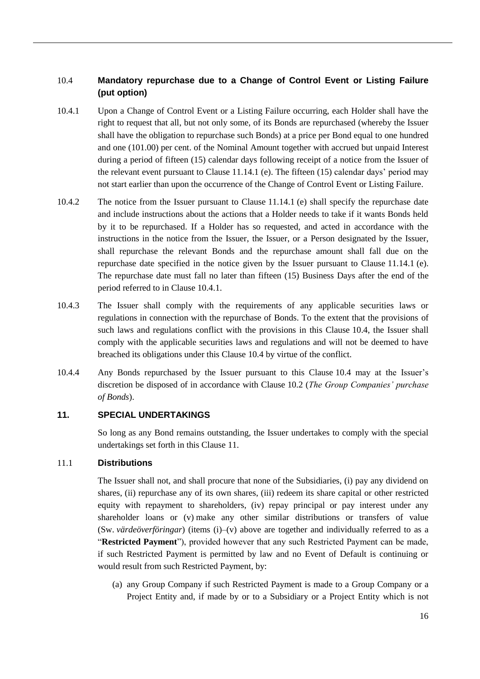# <span id="page-17-2"></span>10.4 **Mandatory repurchase due to a Change of Control Event or Listing Failure (put option)**

- <span id="page-17-1"></span>10.4.1 Upon a Change of Control Event or a Listing Failure occurring, each Holder shall have the right to request that all, but not only some, of its Bonds are repurchased (whereby the Issuer shall have the obligation to repurchase such Bonds) at a price per Bond equal to one hundred and one (101.00) per cent. of the Nominal Amount together with accrued but unpaid Interest during a period of fifteen (15) calendar days following receipt of a notice from the Issuer of the relevant event pursuant to Clause [11.14.1](#page-20-0) [\(e\).](#page-20-3) The fifteen (15) calendar days' period may not start earlier than upon the occurrence of the Change of Control Event or Listing Failure.
- 10.4.2 The notice from the Issuer pursuant to Clause [11.14.1](#page-20-0) [\(e\)](#page-20-3) shall specify the repurchase date and include instructions about the actions that a Holder needs to take if it wants Bonds held by it to be repurchased. If a Holder has so requested, and acted in accordance with the instructions in the notice from the Issuer, the Issuer, or a Person designated by the Issuer, shall repurchase the relevant Bonds and the repurchase amount shall fall due on the repurchase date specified in the notice given by the Issuer pursuant to Clause [11.14.1](#page-20-0) [\(e\).](#page-20-3) The repurchase date must fall no later than fifteen (15) Business Days after the end of the period referred to in Clause [10.4.1.](#page-17-1)
- 10.4.3 The Issuer shall comply with the requirements of any applicable securities laws or regulations in connection with the repurchase of Bonds. To the extent that the provisions of such laws and regulations conflict with the provisions in this Clause [10.4,](#page-17-2) the Issuer shall comply with the applicable securities laws and regulations and will not be deemed to have breached its obligations under this Clause [10.4](#page-17-2) by virtue of the conflict.
- 10.4.4 Any Bonds repurchased by the Issuer pursuant to this Clause [10.4](#page-17-2) may at the Issuer's discretion be disposed of in accordance with Clause [10.2](#page-16-4) (*The Group Companies' purchase of Bonds*).

# <span id="page-17-3"></span>**11. SPECIAL UNDERTAKINGS**

So long as any Bond remains outstanding, the Issuer undertakes to comply with the special undertakings set forth in this Clause [11.](#page-17-3)

# <span id="page-17-0"></span>11.1 **Distributions**

The Issuer shall not, and shall procure that none of the Subsidiaries, (i) pay any dividend on shares, (ii) repurchase any of its own shares, (iii) redeem its share capital or other restricted equity with repayment to shareholders, (iv) repay principal or pay interest under any shareholder loans or (v) make any other similar distributions or transfers of value (Sw. *värdeöverföringar*) (items (i)–(v) above are together and individually referred to as a "**Restricted Payment**"), provided however that any such Restricted Payment can be made, if such Restricted Payment is permitted by law and no Event of Default is continuing or would result from such Restricted Payment, by:

(a) any Group Company if such Restricted Payment is made to a Group Company or a Project Entity and, if made by or to a Subsidiary or a Project Entity which is not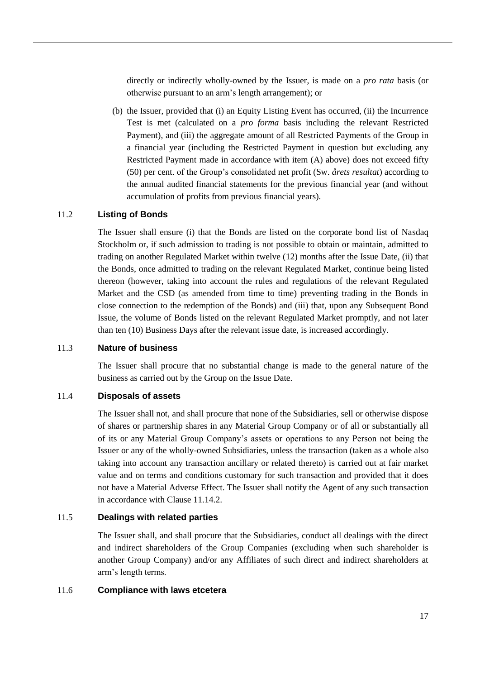directly or indirectly wholly-owned by the Issuer, is made on a *pro rata* basis (or otherwise pursuant to an arm's length arrangement); or

(b) the Issuer, provided that (i) an Equity Listing Event has occurred, (ii) the Incurrence Test is met (calculated on a *pro forma* basis including the relevant Restricted Payment), and (iii) the aggregate amount of all Restricted Payments of the Group in a financial year (including the Restricted Payment in question but excluding any Restricted Payment made in accordance with item (A) above) does not exceed fifty (50) per cent. of the Group's consolidated net profit (Sw. *årets resultat*) according to the annual audited financial statements for the previous financial year (and without accumulation of profits from previous financial years).

# <span id="page-18-1"></span>11.2 **Listing of Bonds**

The Issuer shall ensure (i) that the Bonds are listed on the corporate bond list of Nasdaq Stockholm or, if such admission to trading is not possible to obtain or maintain, admitted to trading on another Regulated Market within twelve (12) months after the Issue Date, (ii) that the Bonds, once admitted to trading on the relevant Regulated Market, continue being listed thereon (however, taking into account the rules and regulations of the relevant Regulated Market and the CSD (as amended from time to time) preventing trading in the Bonds in close connection to the redemption of the Bonds) and (iii) that, upon any Subsequent Bond Issue, the volume of Bonds listed on the relevant Regulated Market promptly, and not later than ten (10) Business Days after the relevant issue date, is increased accordingly.

#### 11.3 **Nature of business**

The Issuer shall procure that no substantial change is made to the general nature of the business as carried out by the Group on the Issue Date.

#### <span id="page-18-0"></span>11.4 **Disposals of assets**

The Issuer shall not, and shall procure that none of the Subsidiaries, sell or otherwise dispose of shares or partnership shares in any Material Group Company or of all or substantially all of its or any Material Group Company's assets or operations to any Person not being the Issuer or any of the wholly-owned Subsidiaries, unless the transaction (taken as a whole also taking into account any transaction ancillary or related thereto) is carried out at fair market value and on terms and conditions customary for such transaction and provided that it does not have a Material Adverse Effect. The Issuer shall notify the Agent of any such transaction in accordance with Clause [11.14.2.](#page-20-4)

### 11.5 **Dealings with related parties**

The Issuer shall, and shall procure that the Subsidiaries, conduct all dealings with the direct and indirect shareholders of the Group Companies (excluding when such shareholder is another Group Company) and/or any Affiliates of such direct and indirect shareholders at arm's length terms.

#### 11.6 **Compliance with laws etcetera**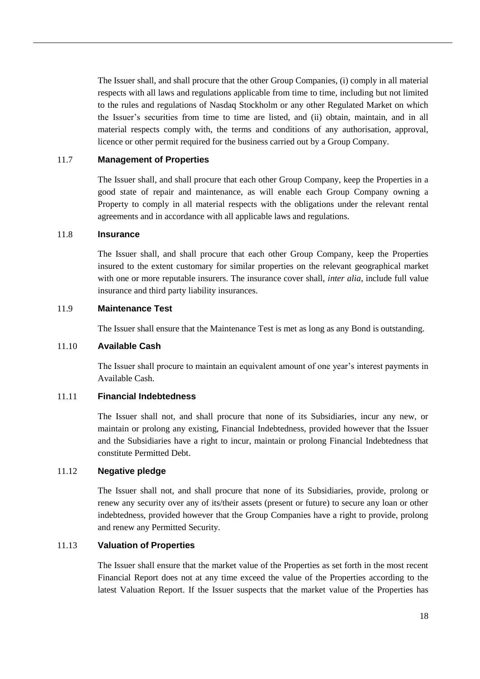The Issuer shall, and shall procure that the other Group Companies, (i) comply in all material respects with all laws and regulations applicable from time to time, including but not limited to the rules and regulations of Nasdaq Stockholm or any other Regulated Market on which the Issuer's securities from time to time are listed, and (ii) obtain, maintain, and in all material respects comply with, the terms and conditions of any authorisation, approval, licence or other permit required for the business carried out by a Group Company.

#### 11.7 **Management of Properties**

The Issuer shall, and shall procure that each other Group Company, keep the Properties in a good state of repair and maintenance, as will enable each Group Company owning a Property to comply in all material respects with the obligations under the relevant rental agreements and in accordance with all applicable laws and regulations.

# 11.8 **Insurance**

The Issuer shall, and shall procure that each other Group Company, keep the Properties insured to the extent customary for similar properties on the relevant geographical market with one or more reputable insurers. The insurance cover shall, *inter alia*, include full value insurance and third party liability insurances.

#### 11.9 **Maintenance Test**

The Issuer shall ensure that the Maintenance Test is met as long as any Bond is outstanding.

#### 11.10 **Available Cash**

The Issuer shall procure to maintain an equivalent amount of one year's interest payments in Available Cash.

#### 11.11 **Financial Indebtedness**

The Issuer shall not, and shall procure that none of its Subsidiaries, incur any new, or maintain or prolong any existing, Financial Indebtedness, provided however that the Issuer and the Subsidiaries have a right to incur, maintain or prolong Financial Indebtedness that constitute Permitted Debt.

#### 11.12 **Negative pledge**

The Issuer shall not, and shall procure that none of its Subsidiaries, provide, prolong or renew any security over any of its/their assets (present or future) to secure any loan or other indebtedness, provided however that the Group Companies have a right to provide, prolong and renew any Permitted Security.

#### 11.13 **Valuation of Properties**

The Issuer shall ensure that the market value of the Properties as set forth in the most recent Financial Report does not at any time exceed the value of the Properties according to the latest Valuation Report. If the Issuer suspects that the market value of the Properties has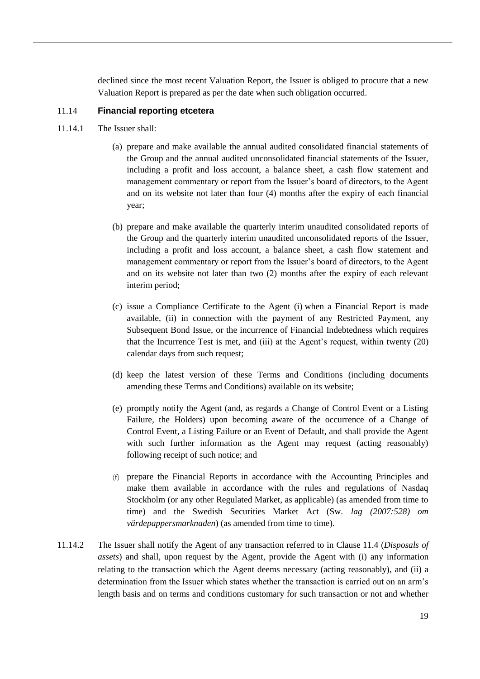declined since the most recent Valuation Report, the Issuer is obliged to procure that a new Valuation Report is prepared as per the date when such obligation occurred.

# 11.14 **Financial reporting etcetera**

- <span id="page-20-2"></span><span id="page-20-1"></span><span id="page-20-0"></span>11.14.1 The Issuer shall:
	- (a) prepare and make available the annual audited consolidated financial statements of the Group and the annual audited unconsolidated financial statements of the Issuer, including a profit and loss account, a balance sheet, a cash flow statement and management commentary or report from the Issuer's board of directors, to the Agent and on its website not later than four (4) months after the expiry of each financial year;
	- (b) prepare and make available the quarterly interim unaudited consolidated reports of the Group and the quarterly interim unaudited unconsolidated reports of the Issuer, including a profit and loss account, a balance sheet, a cash flow statement and management commentary or report from the Issuer's board of directors, to the Agent and on its website not later than two (2) months after the expiry of each relevant interim period;
	- (c) issue a Compliance Certificate to the Agent (i) when a Financial Report is made available, (ii) in connection with the payment of any Restricted Payment, any Subsequent Bond Issue, or the incurrence of Financial Indebtedness which requires that the Incurrence Test is met, and (iii) at the Agent's request, within twenty (20) calendar days from such request;
	- (d) keep the latest version of these Terms and Conditions (including documents amending these Terms and Conditions) available on its website;
	- (e) promptly notify the Agent (and, as regards a Change of Control Event or a Listing Failure, the Holders) upon becoming aware of the occurrence of a Change of Control Event, a Listing Failure or an Event of Default, and shall provide the Agent with such further information as the Agent may request (acting reasonably) following receipt of such notice; and
	- (f) prepare the Financial Reports in accordance with the Accounting Principles and make them available in accordance with the rules and regulations of Nasdaq Stockholm (or any other Regulated Market, as applicable) (as amended from time to time) and the Swedish Securities Market Act (Sw. *lag (2007:528) om värdepappersmarknaden*) (as amended from time to time).
- <span id="page-20-4"></span><span id="page-20-3"></span>11.14.2 The Issuer shall notify the Agent of any transaction referred to in Clause [11.4](#page-18-0) (*Disposals of assets*) and shall, upon request by the Agent, provide the Agent with (i) any information relating to the transaction which the Agent deems necessary (acting reasonably), and (ii) a determination from the Issuer which states whether the transaction is carried out on an arm's length basis and on terms and conditions customary for such transaction or not and whether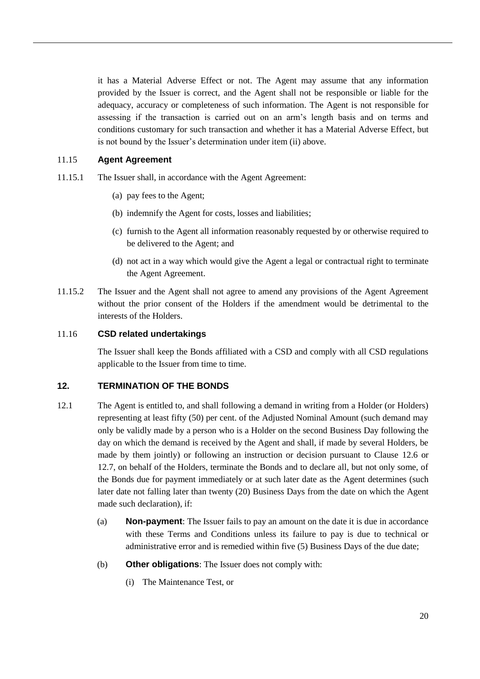it has a Material Adverse Effect or not. The Agent may assume that any information provided by the Issuer is correct, and the Agent shall not be responsible or liable for the adequacy, accuracy or completeness of such information. The Agent is not responsible for assessing if the transaction is carried out on an arm's length basis and on terms and conditions customary for such transaction and whether it has a Material Adverse Effect, but is not bound by the Issuer's determination under item (ii) above.

# 11.15 **Agent Agreement**

- 11.15.1 The Issuer shall, in accordance with the Agent Agreement:
	- (a) pay fees to the Agent;
	- (b) indemnify the Agent for costs, losses and liabilities;
	- (c) furnish to the Agent all information reasonably requested by or otherwise required to be delivered to the Agent; and
	- (d) not act in a way which would give the Agent a legal or contractual right to terminate the Agent Agreement.
- 11.15.2 The Issuer and the Agent shall not agree to amend any provisions of the Agent Agreement without the prior consent of the Holders if the amendment would be detrimental to the interests of the Holders.

# 11.16 **CSD related undertakings**

The Issuer shall keep the Bonds affiliated with a CSD and comply with all CSD regulations applicable to the Issuer from time to time.

# <span id="page-21-1"></span>**12. TERMINATION OF THE BONDS**

- <span id="page-21-0"></span>12.1 The Agent is entitled to, and shall following a demand in writing from a Holder (or Holders) representing at least fifty (50) per cent. of the Adjusted Nominal Amount (such demand may only be validly made by a person who is a Holder on the second Business Day following the day on which the demand is received by the Agent and shall, if made by several Holders, be made by them jointly) or following an instruction or decision pursuant to Clause [12.6](#page-24-0) or [12.7,](#page-24-1) on behalf of the Holders, terminate the Bonds and to declare all, but not only some, of the Bonds due for payment immediately or at such later date as the Agent determines (such later date not falling later than twenty (20) Business Days from the date on which the Agent made such declaration), if:
	- (a) **Non-payment**: The Issuer fails to pay an amount on the date it is due in accordance with these Terms and Conditions unless its failure to pay is due to technical or administrative error and is remedied within five (5) Business Days of the due date;
	- (b) **Other obligations**: The Issuer does not comply with:
		- (i) The Maintenance Test, or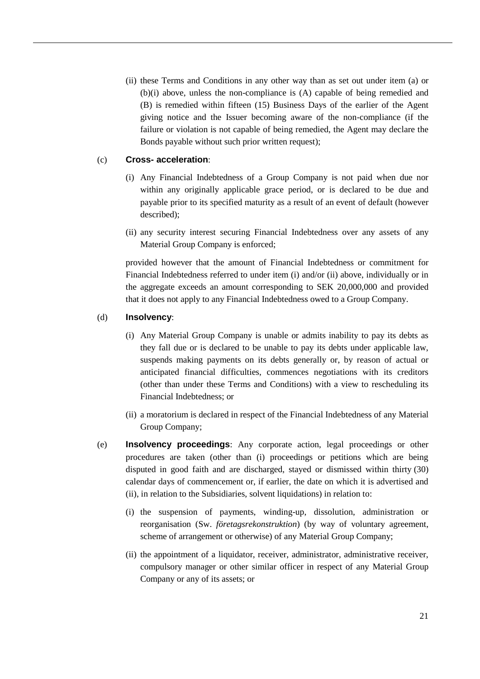(ii) these Terms and Conditions in any other way than as set out under item (a) or (b)(i) above, unless the non-compliance is (A) capable of being remedied and (B) is remedied within fifteen (15) Business Days of the earlier of the Agent giving notice and the Issuer becoming aware of the non-compliance (if the failure or violation is not capable of being remedied, the Agent may declare the Bonds payable without such prior written request);

# (c) **Cross- acceleration**:

- (i) Any Financial Indebtedness of a Group Company is not paid when due nor within any originally applicable grace period, or is declared to be due and payable prior to its specified maturity as a result of an event of default (however described);
- (ii) any security interest securing Financial Indebtedness over any assets of any Material Group Company is enforced;

provided however that the amount of Financial Indebtedness or commitment for Financial Indebtedness referred to under item (i) and/or (ii) above, individually or in the aggregate exceeds an amount corresponding to SEK 20,000,000 and provided that it does not apply to any Financial Indebtedness owed to a Group Company.

#### <span id="page-22-0"></span>(d) **Insolvency**:

- (i) Any Material Group Company is unable or admits inability to pay its debts as they fall due or is declared to be unable to pay its debts under applicable law, suspends making payments on its debts generally or, by reason of actual or anticipated financial difficulties, commences negotiations with its creditors (other than under these Terms and Conditions) with a view to rescheduling its Financial Indebtedness; or
- (ii) a moratorium is declared in respect of the Financial Indebtedness of any Material Group Company;
- (e) **Insolvency proceedings**: Any corporate action, legal proceedings or other procedures are taken (other than (i) proceedings or petitions which are being disputed in good faith and are discharged, stayed or dismissed within thirty (30) calendar days of commencement or, if earlier, the date on which it is advertised and (ii), in relation to the Subsidiaries, solvent liquidations) in relation to:
	- (i) the suspension of payments, winding-up, dissolution, administration or reorganisation (Sw. *företagsrekonstruktion*) (by way of voluntary agreement, scheme of arrangement or otherwise) of any Material Group Company;
	- (ii) the appointment of a liquidator, receiver, administrator, administrative receiver, compulsory manager or other similar officer in respect of any Material Group Company or any of its assets; or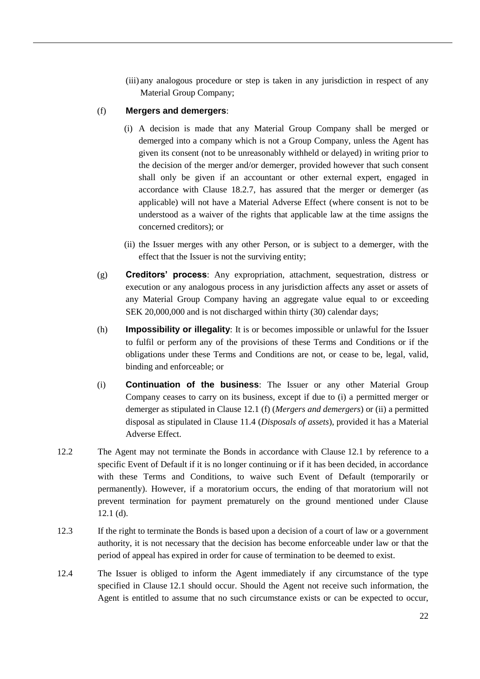(iii) any analogous procedure or step is taken in any jurisdiction in respect of any Material Group Company;

# <span id="page-23-0"></span>(f) **Mergers and demergers**:

- (i) A decision is made that any Material Group Company shall be merged or demerged into a company which is not a Group Company, unless the Agent has given its consent (not to be unreasonably withheld or delayed) in writing prior to the decision of the merger and/or demerger, provided however that such consent shall only be given if an accountant or other external expert, engaged in accordance with Clause [18.2.7,](#page-32-0) has assured that the merger or demerger (as applicable) will not have a Material Adverse Effect (where consent is not to be understood as a waiver of the rights that applicable law at the time assigns the concerned creditors); or
- (ii) the Issuer merges with any other Person, or is subject to a demerger, with the effect that the Issuer is not the surviving entity;
- (g) **Creditors' process**: Any expropriation, attachment, sequestration, distress or execution or any analogous process in any jurisdiction affects any asset or assets of any Material Group Company having an aggregate value equal to or exceeding SEK 20,000,000 and is not discharged within thirty (30) calendar days;
- (h) **Impossibility or illegality**: It is or becomes impossible or unlawful for the Issuer to fulfil or perform any of the provisions of these Terms and Conditions or if the obligations under these Terms and Conditions are not, or cease to be, legal, valid, binding and enforceable; or
- (i) **Continuation of the business**: The Issuer or any other Material Group Company ceases to carry on its business, except if due to (i) a permitted merger or demerger as stipulated in Clause [12.1](#page-21-0) [\(f\)](#page-23-0) (*Mergers and demergers*) or (ii) a permitted disposal as stipulated in Clause [11.4](#page-18-0) (*Disposals of assets*), provided it has a Material Adverse Effect.
- 12.2 The Agent may not terminate the Bonds in accordance with Clause [12.1](#page-21-0) by reference to a specific Event of Default if it is no longer continuing or if it has been decided, in accordance with these Terms and Conditions, to waive such Event of Default (temporarily or permanently). However, if a moratorium occurs, the ending of that moratorium will not prevent termination for payment prematurely on the ground mentioned under Clause [12.1](#page-21-0) [\(d\).](#page-22-0)
- 12.3 If the right to terminate the Bonds is based upon a decision of a court of law or a government authority, it is not necessary that the decision has become enforceable under law or that the period of appeal has expired in order for cause of termination to be deemed to exist.
- <span id="page-23-1"></span>12.4 The Issuer is obliged to inform the Agent immediately if any circumstance of the type specified in Clause [12.1](#page-21-0) should occur. Should the Agent not receive such information, the Agent is entitled to assume that no such circumstance exists or can be expected to occur,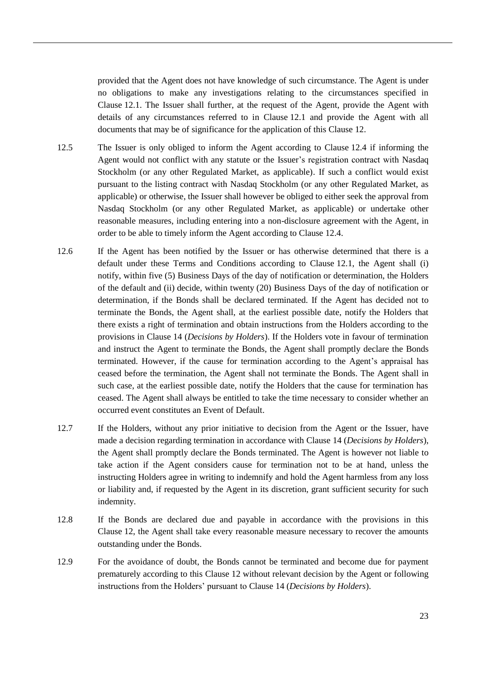provided that the Agent does not have knowledge of such circumstance. The Agent is under no obligations to make any investigations relating to the circumstances specified in Clause [12.1.](#page-21-0) The Issuer shall further, at the request of the Agent, provide the Agent with details of any circumstances referred to in Clause [12.1](#page-21-0) and provide the Agent with all documents that may be of significance for the application of this Clause [12.](#page-21-1)

- 12.5 The Issuer is only obliged to inform the Agent according to Clause [12.4](#page-23-1) if informing the Agent would not conflict with any statute or the Issuer's registration contract with Nasdaq Stockholm (or any other Regulated Market, as applicable). If such a conflict would exist pursuant to the listing contract with Nasdaq Stockholm (or any other Regulated Market, as applicable) or otherwise, the Issuer shall however be obliged to either seek the approval from Nasdaq Stockholm (or any other Regulated Market, as applicable) or undertake other reasonable measures, including entering into a non-disclosure agreement with the Agent, in order to be able to timely inform the Agent according to Clause [12.4.](#page-23-1)
- <span id="page-24-0"></span>12.6 If the Agent has been notified by the Issuer or has otherwise determined that there is a default under these Terms and Conditions according to Clause [12.1,](#page-21-0) the Agent shall (i) notify, within five (5) Business Days of the day of notification or determination, the Holders of the default and (ii) decide, within twenty (20) Business Days of the day of notification or determination, if the Bonds shall be declared terminated. If the Agent has decided not to terminate the Bonds, the Agent shall, at the earliest possible date, notify the Holders that there exists a right of termination and obtain instructions from the Holders according to the provisions in Clause [14](#page-26-0) (*Decisions by Holders*). If the Holders vote in favour of termination and instruct the Agent to terminate the Bonds, the Agent shall promptly declare the Bonds terminated. However, if the cause for termination according to the Agent's appraisal has ceased before the termination, the Agent shall not terminate the Bonds. The Agent shall in such case, at the earliest possible date, notify the Holders that the cause for termination has ceased. The Agent shall always be entitled to take the time necessary to consider whether an occurred event constitutes an Event of Default.
- <span id="page-24-1"></span>12.7 If the Holders, without any prior initiative to decision from the Agent or the Issuer, have made a decision regarding termination in accordance with Clause [14](#page-26-0) (*Decisions by Holders*), the Agent shall promptly declare the Bonds terminated. The Agent is however not liable to take action if the Agent considers cause for termination not to be at hand, unless the instructing Holders agree in writing to indemnify and hold the Agent harmless from any loss or liability and, if requested by the Agent in its discretion, grant sufficient security for such indemnity.
- 12.8 If the Bonds are declared due and payable in accordance with the provisions in this Clause [12,](#page-21-1) the Agent shall take every reasonable measure necessary to recover the amounts outstanding under the Bonds.
- 12.9 For the avoidance of doubt, the Bonds cannot be terminated and become due for payment prematurely according to this Clause [12](#page-21-1) without relevant decision by the Agent or following instructions from the Holders' pursuant to Clause [14](#page-26-0) (*Decisions by Holders*).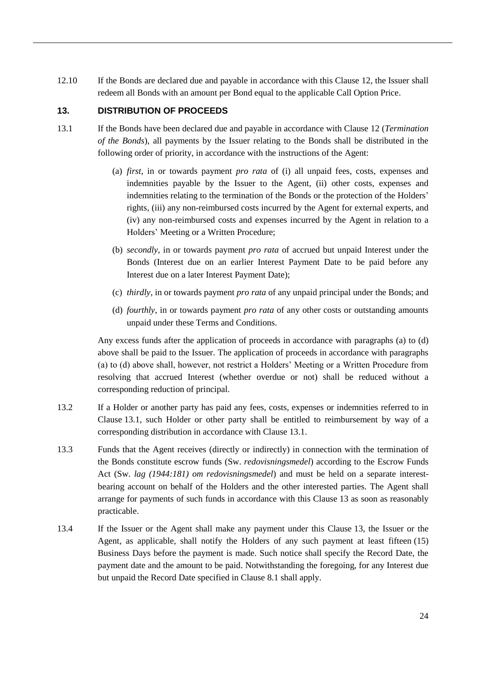12.10 If the Bonds are declared due and payable in accordance with this Clause [12,](#page-21-1) the Issuer shall redeem all Bonds with an amount per Bond equal to the applicable Call Option Price.

# <span id="page-25-0"></span>**13. DISTRIBUTION OF PROCEEDS**

- <span id="page-25-3"></span><span id="page-25-1"></span>13.1 If the Bonds have been declared due and payable in accordance with Clause [12](#page-21-1) (*Termination of the Bonds*), all payments by the Issuer relating to the Bonds shall be distributed in the following order of priority, in accordance with the instructions of the Agent:
	- (a) *first*, in or towards payment *pro rata* of (i) all unpaid fees, costs, expenses and indemnities payable by the Issuer to the Agent, (ii) other costs, expenses and indemnities relating to the termination of the Bonds or the protection of the Holders' rights, (iii) any non-reimbursed costs incurred by the Agent for external experts, and (iv) any non-reimbursed costs and expenses incurred by the Agent in relation to a Holders' Meeting or a Written Procedure;
	- (b) *secondly*, in or towards payment *pro rata* of accrued but unpaid Interest under the Bonds (Interest due on an earlier Interest Payment Date to be paid before any Interest due on a later Interest Payment Date);
	- (c) *thirdly*, in or towards payment *pro rata* of any unpaid principal under the Bonds; and
	- (d) *fourthly*, in or towards payment *pro rata* of any other costs or outstanding amounts unpaid under these Terms and Conditions.

<span id="page-25-2"></span>Any excess funds after the application of proceeds in accordance with paragraphs [\(a\)](#page-25-1) to [\(d\)](#page-25-2) above shall be paid to the Issuer. The application of proceeds in accordance with paragraphs (a) to (d) above shall, however, not restrict a Holders' Meeting or a Written Procedure from resolving that accrued Interest (whether overdue or not) shall be reduced without a corresponding reduction of principal.

- 13.2 If a Holder or another party has paid any fees, costs, expenses or indemnities referred to in Clause [13.1,](#page-25-3) such Holder or other party shall be entitled to reimbursement by way of a corresponding distribution in accordance with Clause [13.1.](#page-25-3)
- 13.3 Funds that the Agent receives (directly or indirectly) in connection with the termination of the Bonds constitute escrow funds (Sw. *redovisningsmedel*) according to the Escrow Funds Act (Sw. *lag (1944:181) om redovisningsmedel*) and must be held on a separate interestbearing account on behalf of the Holders and the other interested parties. The Agent shall arrange for payments of such funds in accordance with this Clause [13](#page-25-0) as soon as reasonably practicable.
- <span id="page-25-4"></span>13.4 If the Issuer or the Agent shall make any payment under this Clause [13,](#page-25-0) the Issuer or the Agent, as applicable, shall notify the Holders of any such payment at least fifteen (15) Business Days before the payment is made. Such notice shall specify the Record Date, the payment date and the amount to be paid. Notwithstanding the foregoing, for any Interest due but unpaid the Record Date specified in Clause [8.1](#page-15-3) shall apply.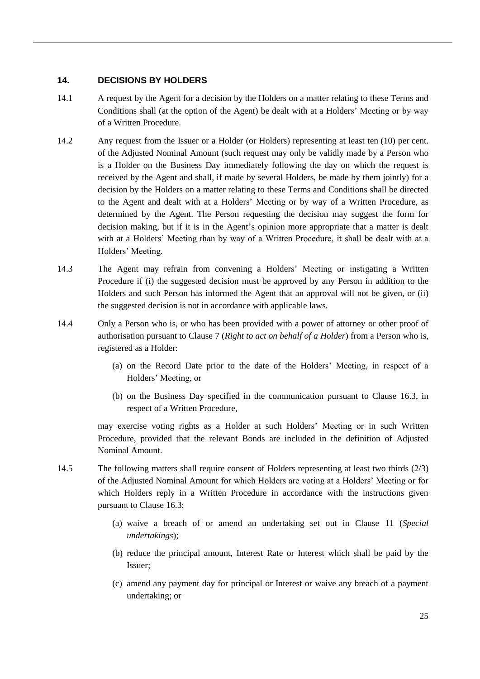# <span id="page-26-0"></span>**14. DECISIONS BY HOLDERS**

- 14.1 A request by the Agent for a decision by the Holders on a matter relating to these Terms and Conditions shall (at the option of the Agent) be dealt with at a Holders' Meeting or by way of a Written Procedure.
- 14.2 Any request from the Issuer or a Holder (or Holders) representing at least ten (10) per cent. of the Adjusted Nominal Amount (such request may only be validly made by a Person who is a Holder on the Business Day immediately following the day on which the request is received by the Agent and shall, if made by several Holders, be made by them jointly) for a decision by the Holders on a matter relating to these Terms and Conditions shall be directed to the Agent and dealt with at a Holders' Meeting or by way of a Written Procedure, as determined by the Agent. The Person requesting the decision may suggest the form for decision making, but if it is in the Agent's opinion more appropriate that a matter is dealt with at a Holders' Meeting than by way of a Written Procedure, it shall be dealt with at a Holders' Meeting.
- 14.3 The Agent may refrain from convening a Holders' Meeting or instigating a Written Procedure if (i) the suggested decision must be approved by any Person in addition to the Holders and such Person has informed the Agent that an approval will not be given, or (ii) the suggested decision is not in accordance with applicable laws.
- 14.4 Only a Person who is, or who has been provided with a power of attorney or other proof of authorisation pursuant to Clause [7](#page-14-2) (*Right to act on behalf of a Holder*) from a Person who is, registered as a Holder:
	- (a) on the Record Date prior to the date of the Holders' Meeting, in respect of a Holders' Meeting, or
	- (b) on the Business Day specified in the communication pursuant to Clause [16.3,](#page-29-1) in respect of a Written Procedure,

may exercise voting rights as a Holder at such Holders' Meeting or in such Written Procedure, provided that the relevant Bonds are included in the definition of Adjusted Nominal Amount.

- <span id="page-26-1"></span>14.5 The following matters shall require consent of Holders representing at least two thirds (2/3) of the Adjusted Nominal Amount for which Holders are voting at a Holders' Meeting or for which Holders reply in a Written Procedure in accordance with the instructions given pursuant to Clause [16.3:](#page-29-1)
	- (a) waive a breach of or amend an undertaking set out in Clause [11](#page-17-3) (*Special undertakings*);
	- (b) reduce the principal amount, Interest Rate or Interest which shall be paid by the Issuer;
	- (c) amend any payment day for principal or Interest or waive any breach of a payment undertaking; or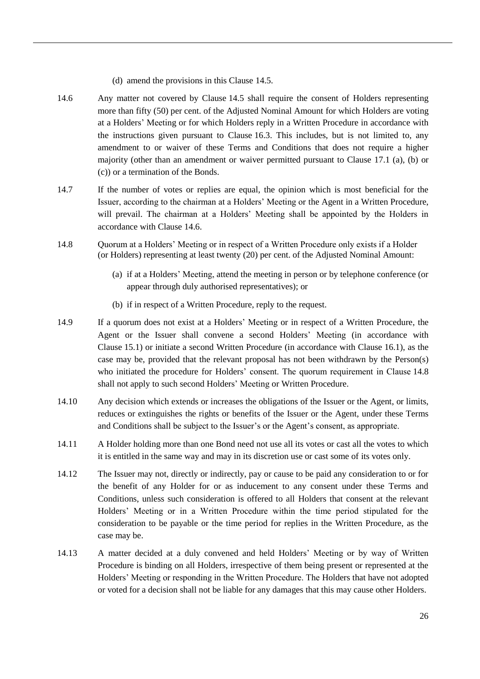- (d) amend the provisions in this Clause [14.5.](#page-26-1)
- <span id="page-27-0"></span>14.6 Any matter not covered by Clause [14.5](#page-26-1) shall require the consent of Holders representing more than fifty (50) per cent. of the Adjusted Nominal Amount for which Holders are voting at a Holders' Meeting or for which Holders reply in a Written Procedure in accordance with the instructions given pursuant to Clause [16.3.](#page-29-1) This includes, but is not limited to, any amendment to or waiver of these Terms and Conditions that does not require a higher majority (other than an amendment or waiver permitted pursuant to Clause [17.1](#page-30-0) [\(a\),](#page-30-1) [\(b\)](#page-30-2) or [\(c\)\)](#page-30-3) or a termination of the Bonds.
- 14.7 If the number of votes or replies are equal, the opinion which is most beneficial for the Issuer, according to the chairman at a Holders' Meeting or the Agent in a Written Procedure, will prevail. The chairman at a Holders' Meeting shall be appointed by the Holders in accordance with Clause [14.6.](#page-27-0)
- <span id="page-27-1"></span>14.8 Quorum at a Holders' Meeting or in respect of a Written Procedure only exists if a Holder (or Holders) representing at least twenty (20) per cent. of the Adjusted Nominal Amount:
	- (a) if at a Holders' Meeting, attend the meeting in person or by telephone conference (or appear through duly authorised representatives); or
	- (b) if in respect of a Written Procedure, reply to the request.
- 14.9 If a quorum does not exist at a Holders' Meeting or in respect of a Written Procedure, the Agent or the Issuer shall convene a second Holders' Meeting (in accordance with Clause [15.1\)](#page-28-1) or initiate a second Written Procedure (in accordance with Clause [16.1\)](#page-29-2), as the case may be, provided that the relevant proposal has not been withdrawn by the Person(s) who initiated the procedure for Holders' consent. The quorum requirement in Clause [14.8](#page-27-1) shall not apply to such second Holders' Meeting or Written Procedure.
- 14.10 Any decision which extends or increases the obligations of the Issuer or the Agent, or limits, reduces or extinguishes the rights or benefits of the Issuer or the Agent, under these Terms and Conditions shall be subject to the Issuer's or the Agent's consent, as appropriate.
- 14.11 A Holder holding more than one Bond need not use all its votes or cast all the votes to which it is entitled in the same way and may in its discretion use or cast some of its votes only.
- 14.12 The Issuer may not, directly or indirectly, pay or cause to be paid any consideration to or for the benefit of any Holder for or as inducement to any consent under these Terms and Conditions, unless such consideration is offered to all Holders that consent at the relevant Holders' Meeting or in a Written Procedure within the time period stipulated for the consideration to be payable or the time period for replies in the Written Procedure, as the case may be.
- 14.13 A matter decided at a duly convened and held Holders' Meeting or by way of Written Procedure is binding on all Holders, irrespective of them being present or represented at the Holders' Meeting or responding in the Written Procedure. The Holders that have not adopted or voted for a decision shall not be liable for any damages that this may cause other Holders.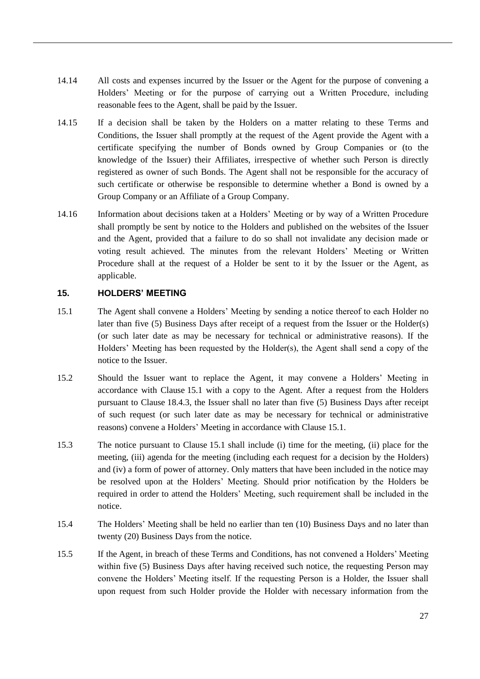- 14.14 All costs and expenses incurred by the Issuer or the Agent for the purpose of convening a Holders' Meeting or for the purpose of carrying out a Written Procedure, including reasonable fees to the Agent, shall be paid by the Issuer.
- 14.15 If a decision shall be taken by the Holders on a matter relating to these Terms and Conditions, the Issuer shall promptly at the request of the Agent provide the Agent with a certificate specifying the number of Bonds owned by Group Companies or (to the knowledge of the Issuer) their Affiliates, irrespective of whether such Person is directly registered as owner of such Bonds. The Agent shall not be responsible for the accuracy of such certificate or otherwise be responsible to determine whether a Bond is owned by a Group Company or an Affiliate of a Group Company.
- <span id="page-28-2"></span>14.16 Information about decisions taken at a Holders' Meeting or by way of a Written Procedure shall promptly be sent by notice to the Holders and published on the websites of the Issuer and the Agent, provided that a failure to do so shall not invalidate any decision made or voting result achieved. The minutes from the relevant Holders' Meeting or Written Procedure shall at the request of a Holder be sent to it by the Issuer or the Agent, as applicable.

# <span id="page-28-0"></span>**15. HOLDERS' MEETING**

- <span id="page-28-1"></span>15.1 The Agent shall convene a Holders' Meeting by sending a notice thereof to each Holder no later than five (5) Business Days after receipt of a request from the Issuer or the Holder(s) (or such later date as may be necessary for technical or administrative reasons). If the Holders' Meeting has been requested by the Holder(s), the Agent shall send a copy of the notice to the Issuer.
- 15.2 Should the Issuer want to replace the Agent, it may convene a Holders' Meeting in accordance with Clause [15.1](#page-28-1) with a copy to the Agent. After a request from the Holders pursuant to Clause [18.4.3,](#page-33-0) the Issuer shall no later than five (5) Business Days after receipt of such request (or such later date as may be necessary for technical or administrative reasons) convene a Holders' Meeting in accordance with Clause [15.1.](#page-28-1)
- 15.3 The notice pursuant to Clause [15.1](#page-28-1) shall include (i) time for the meeting, (ii) place for the meeting, (iii) agenda for the meeting (including each request for a decision by the Holders) and (iv) a form of power of attorney. Only matters that have been included in the notice may be resolved upon at the Holders' Meeting. Should prior notification by the Holders be required in order to attend the Holders' Meeting, such requirement shall be included in the notice.
- 15.4 The Holders' Meeting shall be held no earlier than ten (10) Business Days and no later than twenty (20) Business Days from the notice.
- 15.5 If the Agent, in breach of these Terms and Conditions, has not convened a Holders' Meeting within five (5) Business Days after having received such notice, the requesting Person may convene the Holders' Meeting itself. If the requesting Person is a Holder, the Issuer shall upon request from such Holder provide the Holder with necessary information from the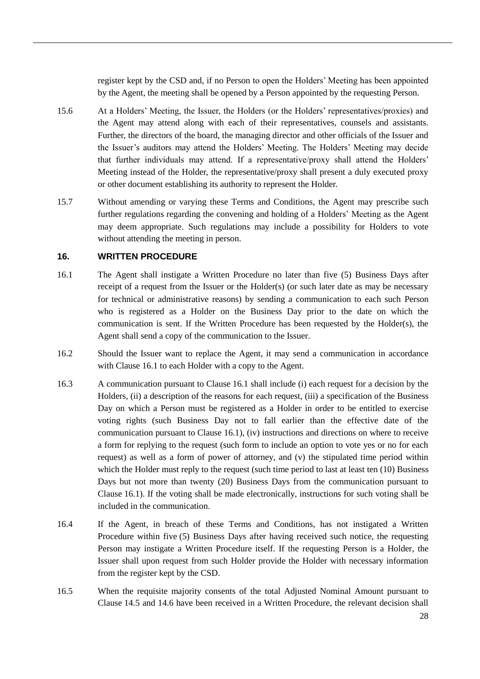register kept by the CSD and, if no Person to open the Holders' Meeting has been appointed by the Agent, the meeting shall be opened by a Person appointed by the requesting Person.

- 15.6 At a Holders' Meeting, the Issuer, the Holders (or the Holders' representatives/proxies) and the Agent may attend along with each of their representatives, counsels and assistants. Further, the directors of the board, the managing director and other officials of the Issuer and the Issuer's auditors may attend the Holders' Meeting. The Holders' Meeting may decide that further individuals may attend. If a representative/proxy shall attend the Holders' Meeting instead of the Holder, the representative/proxy shall present a duly executed proxy or other document establishing its authority to represent the Holder.
- 15.7 Without amending or varying these Terms and Conditions, the Agent may prescribe such further regulations regarding the convening and holding of a Holders' Meeting as the Agent may deem appropriate. Such regulations may include a possibility for Holders to vote without attending the meeting in person.

# <span id="page-29-0"></span>**16. WRITTEN PROCEDURE**

- <span id="page-29-2"></span>16.1 The Agent shall instigate a Written Procedure no later than five (5) Business Days after receipt of a request from the Issuer or the Holder(s) (or such later date as may be necessary for technical or administrative reasons) by sending a communication to each such Person who is registered as a Holder on the Business Day prior to the date on which the communication is sent. If the Written Procedure has been requested by the Holder(s), the Agent shall send a copy of the communication to the Issuer.
- 16.2 Should the Issuer want to replace the Agent, it may send a communication in accordance with Clause [16.1](#page-29-2) to each Holder with a copy to the Agent.
- <span id="page-29-1"></span>16.3 A communication pursuant to Clause [16.1](#page-29-2) shall include (i) each request for a decision by the Holders, (ii) a description of the reasons for each request, (iii) a specification of the Business Day on which a Person must be registered as a Holder in order to be entitled to exercise voting rights (such Business Day not to fall earlier than the effective date of the communication pursuant to Clause [16.1\)](#page-29-2), (iv) instructions and directions on where to receive a form for replying to the request (such form to include an option to vote yes or no for each request) as well as a form of power of attorney, and (v) the stipulated time period within which the Holder must reply to the request (such time period to last at least ten (10) Business Days but not more than twenty (20) Business Days from the communication pursuant to Clause [16.1\)](#page-29-2). If the voting shall be made electronically, instructions for such voting shall be included in the communication.
- 16.4 If the Agent, in breach of these Terms and Conditions, has not instigated a Written Procedure within five (5) Business Days after having received such notice, the requesting Person may instigate a Written Procedure itself. If the requesting Person is a Holder, the Issuer shall upon request from such Holder provide the Holder with necessary information from the register kept by the CSD.
- 16.5 When the requisite majority consents of the total Adjusted Nominal Amount pursuant to Clause [14.5](#page-26-1) and [14.6](#page-27-0) have been received in a Written Procedure, the relevant decision shall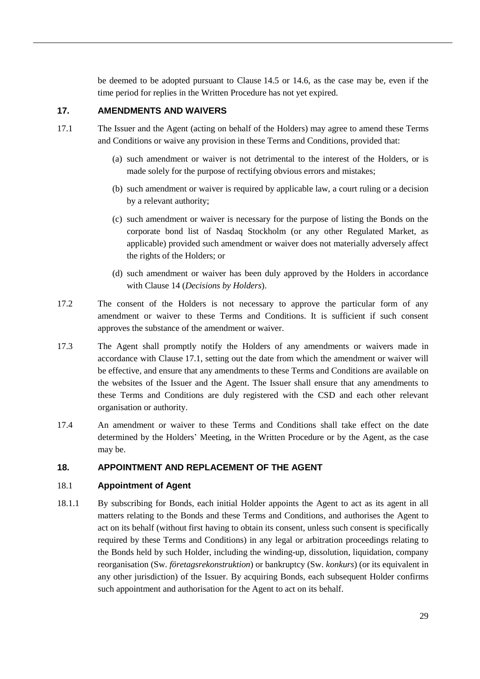be deemed to be adopted pursuant to Clause [14.5](#page-26-1) or [14.6,](#page-27-0) as the case may be, even if the time period for replies in the Written Procedure has not yet expired.

# **17. AMENDMENTS AND WAIVERS**

- <span id="page-30-2"></span><span id="page-30-1"></span><span id="page-30-0"></span>17.1 The Issuer and the Agent (acting on behalf of the Holders) may agree to amend these Terms and Conditions or waive any provision in these Terms and Conditions, provided that:
	- (a) such amendment or waiver is not detrimental to the interest of the Holders, or is made solely for the purpose of rectifying obvious errors and mistakes;
	- (b) such amendment or waiver is required by applicable law, a court ruling or a decision by a relevant authority;
	- (c) such amendment or waiver is necessary for the purpose of listing the Bonds on the corporate bond list of Nasdaq Stockholm (or any other Regulated Market, as applicable) provided such amendment or waiver does not materially adversely affect the rights of the Holders; or
	- (d) such amendment or waiver has been duly approved by the Holders in accordance with Clause [14](#page-26-0) (*Decisions by Holders*).
- <span id="page-30-3"></span>17.2 The consent of the Holders is not necessary to approve the particular form of any amendment or waiver to these Terms and Conditions. It is sufficient if such consent approves the substance of the amendment or waiver.
- <span id="page-30-4"></span>17.3 The Agent shall promptly notify the Holders of any amendments or waivers made in accordance with Clause [17.1,](#page-30-0) setting out the date from which the amendment or waiver will be effective, and ensure that any amendments to these Terms and Conditions are available on the websites of the Issuer and the Agent. The Issuer shall ensure that any amendments to these Terms and Conditions are duly registered with the CSD and each other relevant organisation or authority.
- 17.4 An amendment or waiver to these Terms and Conditions shall take effect on the date determined by the Holders' Meeting, in the Written Procedure or by the Agent, as the case may be.

# **18. APPOINTMENT AND REPLACEMENT OF THE AGENT**

# 18.1 **Appointment of Agent**

18.1.1 By subscribing for Bonds, each initial Holder appoints the Agent to act as its agent in all matters relating to the Bonds and these Terms and Conditions, and authorises the Agent to act on its behalf (without first having to obtain its consent, unless such consent is specifically required by these Terms and Conditions) in any legal or arbitration proceedings relating to the Bonds held by such Holder, including the winding-up, dissolution, liquidation, company reorganisation (Sw. *företagsrekonstruktion*) or bankruptcy (Sw. *konkurs*) (or its equivalent in any other jurisdiction) of the Issuer. By acquiring Bonds, each subsequent Holder confirms such appointment and authorisation for the Agent to act on its behalf.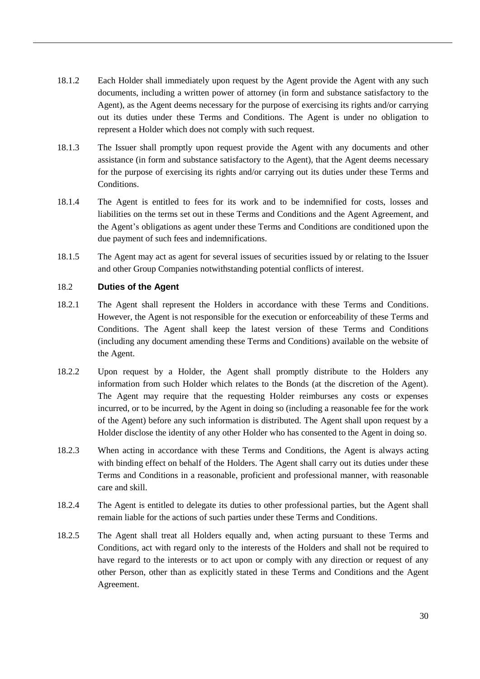- <span id="page-31-0"></span>18.1.2 Each Holder shall immediately upon request by the Agent provide the Agent with any such documents, including a written power of attorney (in form and substance satisfactory to the Agent), as the Agent deems necessary for the purpose of exercising its rights and/or carrying out its duties under these Terms and Conditions. The Agent is under no obligation to represent a Holder which does not comply with such request.
- 18.1.3 The Issuer shall promptly upon request provide the Agent with any documents and other assistance (in form and substance satisfactory to the Agent), that the Agent deems necessary for the purpose of exercising its rights and/or carrying out its duties under these Terms and Conditions.
- 18.1.4 The Agent is entitled to fees for its work and to be indemnified for costs, losses and liabilities on the terms set out in these Terms and Conditions and the Agent Agreement, and the Agent's obligations as agent under these Terms and Conditions are conditioned upon the due payment of such fees and indemnifications.
- 18.1.5 The Agent may act as agent for several issues of securities issued by or relating to the Issuer and other Group Companies notwithstanding potential conflicts of interest.

# 18.2 **Duties of the Agent**

- 18.2.1 The Agent shall represent the Holders in accordance with these Terms and Conditions. However, the Agent is not responsible for the execution or enforceability of these Terms and Conditions. The Agent shall keep the latest version of these Terms and Conditions (including any document amending these Terms and Conditions) available on the website of the Agent.
- 18.2.2 Upon request by a Holder, the Agent shall promptly distribute to the Holders any information from such Holder which relates to the Bonds (at the discretion of the Agent). The Agent may require that the requesting Holder reimburses any costs or expenses incurred, or to be incurred, by the Agent in doing so (including a reasonable fee for the work of the Agent) before any such information is distributed. The Agent shall upon request by a Holder disclose the identity of any other Holder who has consented to the Agent in doing so.
- 18.2.3 When acting in accordance with these Terms and Conditions, the Agent is always acting with binding effect on behalf of the Holders. The Agent shall carry out its duties under these Terms and Conditions in a reasonable, proficient and professional manner, with reasonable care and skill.
- 18.2.4 The Agent is entitled to delegate its duties to other professional parties, but the Agent shall remain liable for the actions of such parties under these Terms and Conditions.
- 18.2.5 The Agent shall treat all Holders equally and, when acting pursuant to these Terms and Conditions, act with regard only to the interests of the Holders and shall not be required to have regard to the interests or to act upon or comply with any direction or request of any other Person, other than as explicitly stated in these Terms and Conditions and the Agent Agreement.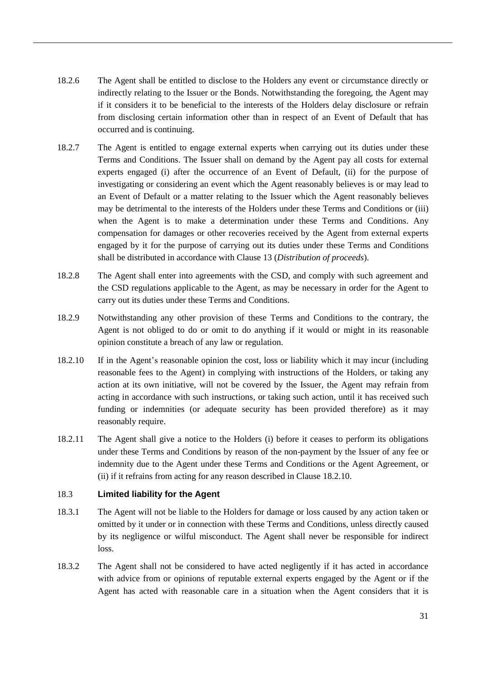- 18.2.6 The Agent shall be entitled to disclose to the Holders any event or circumstance directly or indirectly relating to the Issuer or the Bonds. Notwithstanding the foregoing, the Agent may if it considers it to be beneficial to the interests of the Holders delay disclosure or refrain from disclosing certain information other than in respect of an Event of Default that has occurred and is continuing.
- <span id="page-32-0"></span>18.2.7 The Agent is entitled to engage external experts when carrying out its duties under these Terms and Conditions. The Issuer shall on demand by the Agent pay all costs for external experts engaged (i) after the occurrence of an Event of Default, (ii) for the purpose of investigating or considering an event which the Agent reasonably believes is or may lead to an Event of Default or a matter relating to the Issuer which the Agent reasonably believes may be detrimental to the interests of the Holders under these Terms and Conditions or (iii) when the Agent is to make a determination under these Terms and Conditions. Any compensation for damages or other recoveries received by the Agent from external experts engaged by it for the purpose of carrying out its duties under these Terms and Conditions shall be distributed in accordance with Clause [13](#page-25-0) (*Distribution of proceeds*).
- 18.2.8 The Agent shall enter into agreements with the CSD, and comply with such agreement and the CSD regulations applicable to the Agent, as may be necessary in order for the Agent to carry out its duties under these Terms and Conditions.
- 18.2.9 Notwithstanding any other provision of these Terms and Conditions to the contrary, the Agent is not obliged to do or omit to do anything if it would or might in its reasonable opinion constitute a breach of any law or regulation.
- <span id="page-32-1"></span>18.2.10 If in the Agent's reasonable opinion the cost, loss or liability which it may incur (including reasonable fees to the Agent) in complying with instructions of the Holders, or taking any action at its own initiative, will not be covered by the Issuer, the Agent may refrain from acting in accordance with such instructions, or taking such action, until it has received such funding or indemnities (or adequate security has been provided therefore) as it may reasonably require.
- <span id="page-32-2"></span>18.2.11 The Agent shall give a notice to the Holders (i) before it ceases to perform its obligations under these Terms and Conditions by reason of the non-payment by the Issuer of any fee or indemnity due to the Agent under these Terms and Conditions or the Agent Agreement, or (ii) if it refrains from acting for any reason described in Clause [18.2.10.](#page-32-1)

#### 18.3 **Limited liability for the Agent**

- 18.3.1 The Agent will not be liable to the Holders for damage or loss caused by any action taken or omitted by it under or in connection with these Terms and Conditions, unless directly caused by its negligence or wilful misconduct. The Agent shall never be responsible for indirect loss.
- 18.3.2 The Agent shall not be considered to have acted negligently if it has acted in accordance with advice from or opinions of reputable external experts engaged by the Agent or if the Agent has acted with reasonable care in a situation when the Agent considers that it is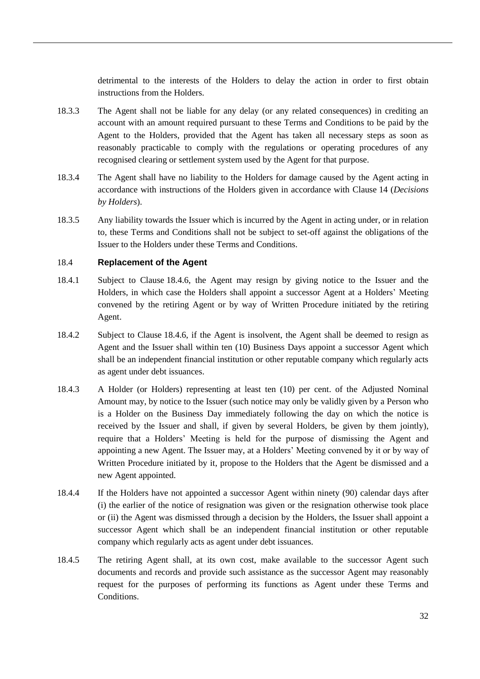detrimental to the interests of the Holders to delay the action in order to first obtain instructions from the Holders.

- 18.3.3 The Agent shall not be liable for any delay (or any related consequences) in crediting an account with an amount required pursuant to these Terms and Conditions to be paid by the Agent to the Holders, provided that the Agent has taken all necessary steps as soon as reasonably practicable to comply with the regulations or operating procedures of any recognised clearing or settlement system used by the Agent for that purpose.
- 18.3.4 The Agent shall have no liability to the Holders for damage caused by the Agent acting in accordance with instructions of the Holders given in accordance with Clause [14](#page-26-0) (*Decisions by Holders*).
- 18.3.5 Any liability towards the Issuer which is incurred by the Agent in acting under, or in relation to, these Terms and Conditions shall not be subject to set-off against the obligations of the Issuer to the Holders under these Terms and Conditions.

# <span id="page-33-1"></span>18.4 **Replacement of the Agent**

- <span id="page-33-2"></span>18.4.1 Subject to Clause [18.4.6,](#page-34-0) the Agent may resign by giving notice to the Issuer and the Holders, in which case the Holders shall appoint a successor Agent at a Holders' Meeting convened by the retiring Agent or by way of Written Procedure initiated by the retiring Agent.
- 18.4.2 Subject to Clause [18.4.6,](#page-34-0) if the Agent is insolvent, the Agent shall be deemed to resign as Agent and the Issuer shall within ten (10) Business Days appoint a successor Agent which shall be an independent financial institution or other reputable company which regularly acts as agent under debt issuances.
- <span id="page-33-0"></span>18.4.3 A Holder (or Holders) representing at least ten (10) per cent. of the Adjusted Nominal Amount may, by notice to the Issuer (such notice may only be validly given by a Person who is a Holder on the Business Day immediately following the day on which the notice is received by the Issuer and shall, if given by several Holders, be given by them jointly), require that a Holders' Meeting is held for the purpose of dismissing the Agent and appointing a new Agent. The Issuer may, at a Holders' Meeting convened by it or by way of Written Procedure initiated by it, propose to the Holders that the Agent be dismissed and a new Agent appointed.
- 18.4.4 If the Holders have not appointed a successor Agent within ninety (90) calendar days after (i) the earlier of the notice of resignation was given or the resignation otherwise took place or (ii) the Agent was dismissed through a decision by the Holders, the Issuer shall appoint a successor Agent which shall be an independent financial institution or other reputable company which regularly acts as agent under debt issuances.
- 18.4.5 The retiring Agent shall, at its own cost, make available to the successor Agent such documents and records and provide such assistance as the successor Agent may reasonably request for the purposes of performing its functions as Agent under these Terms and Conditions.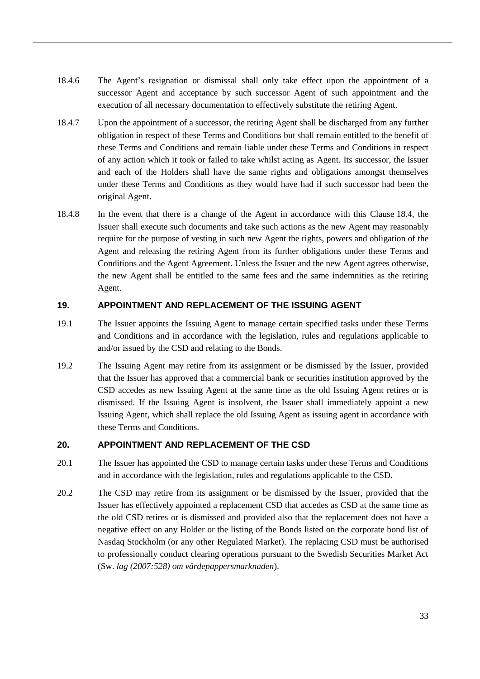- <span id="page-34-0"></span>18.4.6 The Agent's resignation or dismissal shall only take effect upon the appointment of a successor Agent and acceptance by such successor Agent of such appointment and the execution of all necessary documentation to effectively substitute the retiring Agent.
- 18.4.7 Upon the appointment of a successor, the retiring Agent shall be discharged from any further obligation in respect of these Terms and Conditions but shall remain entitled to the benefit of these Terms and Conditions and remain liable under these Terms and Conditions in respect of any action which it took or failed to take whilst acting as Agent. Its successor, the Issuer and each of the Holders shall have the same rights and obligations amongst themselves under these Terms and Conditions as they would have had if such successor had been the original Agent.
- 18.4.8 In the event that there is a change of the Agent in accordance with this Clause [18.4,](#page-33-1) the Issuer shall execute such documents and take such actions as the new Agent may reasonably require for the purpose of vesting in such new Agent the rights, powers and obligation of the Agent and releasing the retiring Agent from its further obligations under these Terms and Conditions and the Agent Agreement. Unless the Issuer and the new Agent agrees otherwise, the new Agent shall be entitled to the same fees and the same indemnities as the retiring Agent.

# **19. APPOINTMENT AND REPLACEMENT OF THE ISSUING AGENT**

- 19.1 The Issuer appoints the Issuing Agent to manage certain specified tasks under these Terms and Conditions and in accordance with the legislation, rules and regulations applicable to and/or issued by the CSD and relating to the Bonds.
- 19.2 The Issuing Agent may retire from its assignment or be dismissed by the Issuer, provided that the Issuer has approved that a commercial bank or securities institution approved by the CSD accedes as new Issuing Agent at the same time as the old Issuing Agent retires or is dismissed. If the Issuing Agent is insolvent, the Issuer shall immediately appoint a new Issuing Agent, which shall replace the old Issuing Agent as issuing agent in accordance with these Terms and Conditions.

# **20. APPOINTMENT AND REPLACEMENT OF THE CSD**

- 20.1 The Issuer has appointed the CSD to manage certain tasks under these Terms and Conditions and in accordance with the legislation, rules and regulations applicable to the CSD.
- 20.2 The CSD may retire from its assignment or be dismissed by the Issuer, provided that the Issuer has effectively appointed a replacement CSD that accedes as CSD at the same time as the old CSD retires or is dismissed and provided also that the replacement does not have a negative effect on any Holder or the listing of the Bonds listed on the corporate bond list of Nasdaq Stockholm (or any other Regulated Market). The replacing CSD must be authorised to professionally conduct clearing operations pursuant to the Swedish Securities Market Act (Sw. *lag (2007:528) om värdepappersmarknaden*).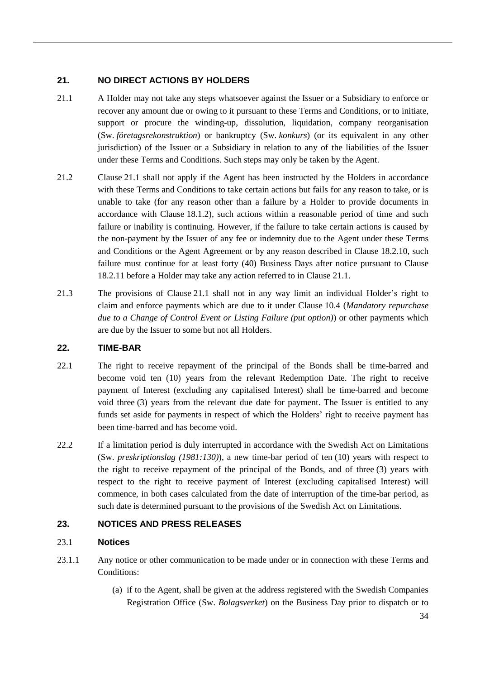# **21. NO DIRECT ACTIONS BY HOLDERS**

- <span id="page-35-0"></span>21.1 A Holder may not take any steps whatsoever against the Issuer or a Subsidiary to enforce or recover any amount due or owing to it pursuant to these Terms and Conditions, or to initiate, support or procure the winding-up, dissolution, liquidation, company reorganisation (Sw. *företagsrekonstruktion*) or bankruptcy (Sw. *konkurs*) (or its equivalent in any other jurisdiction) of the Issuer or a Subsidiary in relation to any of the liabilities of the Issuer under these Terms and Conditions. Such steps may only be taken by the Agent.
- 21.2 Clause [21.1](#page-35-0) shall not apply if the Agent has been instructed by the Holders in accordance with these Terms and Conditions to take certain actions but fails for any reason to take, or is unable to take (for any reason other than a failure by a Holder to provide documents in accordance with Clause [18.1.2\)](#page-31-0), such actions within a reasonable period of time and such failure or inability is continuing. However, if the failure to take certain actions is caused by the non-payment by the Issuer of any fee or indemnity due to the Agent under these Terms and Conditions or the Agent Agreement or by any reason described in Clause [18.2.10,](#page-32-1) such failure must continue for at least forty (40) Business Days after notice pursuant to Clause [18.2.11](#page-32-2) before a Holder may take any action referred to in Clause [21.1.](#page-35-0)
- 21.3 The provisions of Clause [21.1](#page-35-0) shall not in any way limit an individual Holder's right to claim and enforce payments which are due to it under Clause [10.4](#page-17-2) (*Mandatory repurchase due to a Change of Control Event or Listing Failure (put option)*) or other payments which are due by the Issuer to some but not all Holders.

# **22. TIME-BAR**

- 22.1 The right to receive repayment of the principal of the Bonds shall be time-barred and become void ten (10) years from the relevant Redemption Date. The right to receive payment of Interest (excluding any capitalised Interest) shall be time-barred and become void three (3) years from the relevant due date for payment. The Issuer is entitled to any funds set aside for payments in respect of which the Holders' right to receive payment has been time-barred and has become void.
- 22.2 If a limitation period is duly interrupted in accordance with the Swedish Act on Limitations (Sw. *preskriptionslag (1981:130)*), a new time-bar period of ten (10) years with respect to the right to receive repayment of the principal of the Bonds, and of three (3) years with respect to the right to receive payment of Interest (excluding capitalised Interest) will commence, in both cases calculated from the date of interruption of the time-bar period, as such date is determined pursuant to the provisions of the Swedish Act on Limitations.

# **23. NOTICES AND PRESS RELEASES**

# 23.1 **Notices**

- <span id="page-35-1"></span>23.1.1 Any notice or other communication to be made under or in connection with these Terms and Conditions:
	- (a) if to the Agent, shall be given at the address registered with the Swedish Companies Registration Office (Sw. *Bolagsverket*) on the Business Day prior to dispatch or to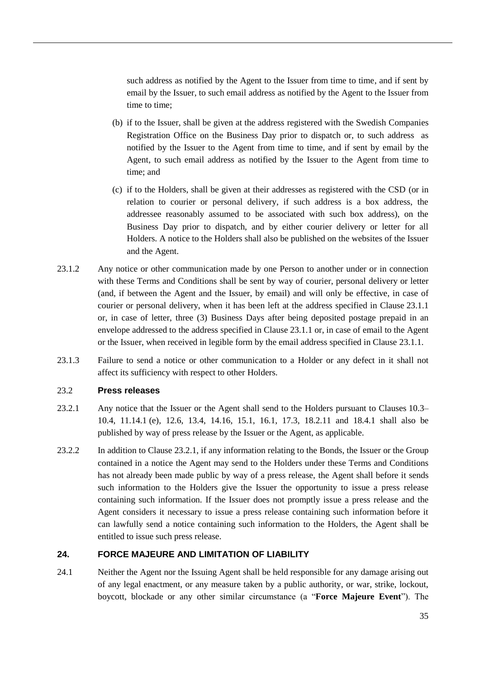such address as notified by the Agent to the Issuer from time to time, and if sent by email by the Issuer, to such email address as notified by the Agent to the Issuer from time to time;

- (b) if to the Issuer, shall be given at the address registered with the Swedish Companies Registration Office on the Business Day prior to dispatch or, to such address as notified by the Issuer to the Agent from time to time, and if sent by email by the Agent, to such email address as notified by the Issuer to the Agent from time to time; and
- (c) if to the Holders, shall be given at their addresses as registered with the CSD (or in relation to courier or personal delivery, if such address is a box address, the addressee reasonably assumed to be associated with such box address), on the Business Day prior to dispatch, and by either courier delivery or letter for all Holders. A notice to the Holders shall also be published on the websites of the Issuer and the Agent.
- 23.1.2 Any notice or other communication made by one Person to another under or in connection with these Terms and Conditions shall be sent by way of courier, personal delivery or letter (and, if between the Agent and the Issuer, by email) and will only be effective, in case of courier or personal delivery, when it has been left at the address specified in Clause [23.1.1](#page-35-1) or, in case of letter, three (3) Business Days after being deposited postage prepaid in an envelope addressed to the address specified in Clause [23.1.1](#page-35-1) or, in case of email to the Agent or the Issuer, when received in legible form by the email address specified in Clause [23.1.1.](#page-35-1)
- 23.1.3 Failure to send a notice or other communication to a Holder or any defect in it shall not affect its sufficiency with respect to other Holders.

#### 23.2 **Press releases**

- <span id="page-36-1"></span>23.2.1 Any notice that the Issuer or the Agent shall send to the Holders pursuant to Clauses [10.3–](#page-16-3) [10.4,](#page-17-2) [11.14.1](#page-20-0) [\(e\),](#page-20-3) [12.6,](#page-24-0) [13.4,](#page-25-4) [14.16,](#page-28-2) [15.1,](#page-28-1) [16.1,](#page-29-2) [17.3,](#page-30-4) [18.2.11](#page-32-2) and [18.4.1](#page-33-2) shall also be published by way of press release by the Issuer or the Agent, as applicable.
- 23.2.2 In addition to Clause [23.2.1,](#page-36-1) if any information relating to the Bonds, the Issuer or the Group contained in a notice the Agent may send to the Holders under these Terms and Conditions has not already been made public by way of a press release, the Agent shall before it sends such information to the Holders give the Issuer the opportunity to issue a press release containing such information. If the Issuer does not promptly issue a press release and the Agent considers it necessary to issue a press release containing such information before it can lawfully send a notice containing such information to the Holders, the Agent shall be entitled to issue such press release.

# <span id="page-36-2"></span>**24. FORCE MAJEURE AND LIMITATION OF LIABILITY**

<span id="page-36-0"></span>24.1 Neither the Agent nor the Issuing Agent shall be held responsible for any damage arising out of any legal enactment, or any measure taken by a public authority, or war, strike, lockout, boycott, blockade or any other similar circumstance (a "**Force Majeure Event**"). The